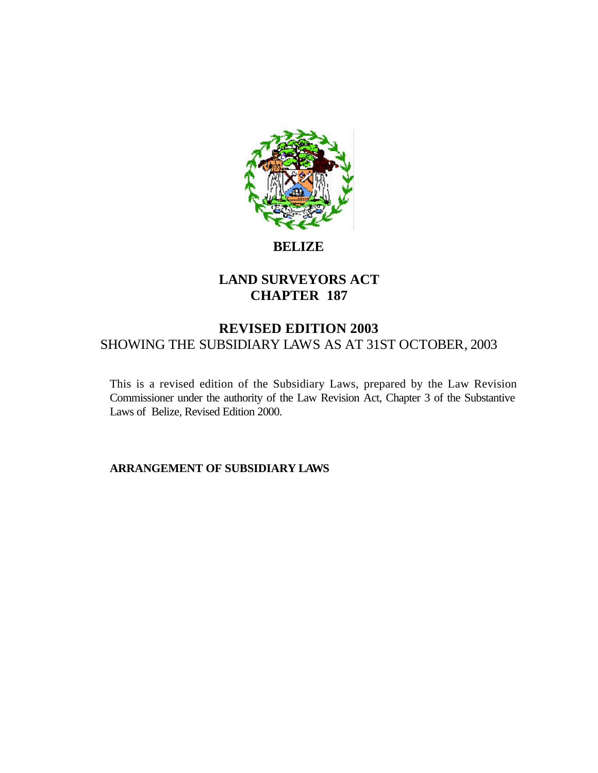

# **BELIZE**

# **LAND SURVEYORS ACT CHAPTER 187**

# **REVISED EDITION 2003** SHOWING THE SUBSIDIARY LAWS AS AT 31ST OCTOBER, 2003

This is a revised edition of the Subsidiary Laws, prepared by the Law Revision Commissioner under the authority of the Law Revision Act, Chapter 3 of the Substantive Laws of Belize, Revised Edition 2000.

**ARRANGEMENT OF SUBSIDIARY LAWS**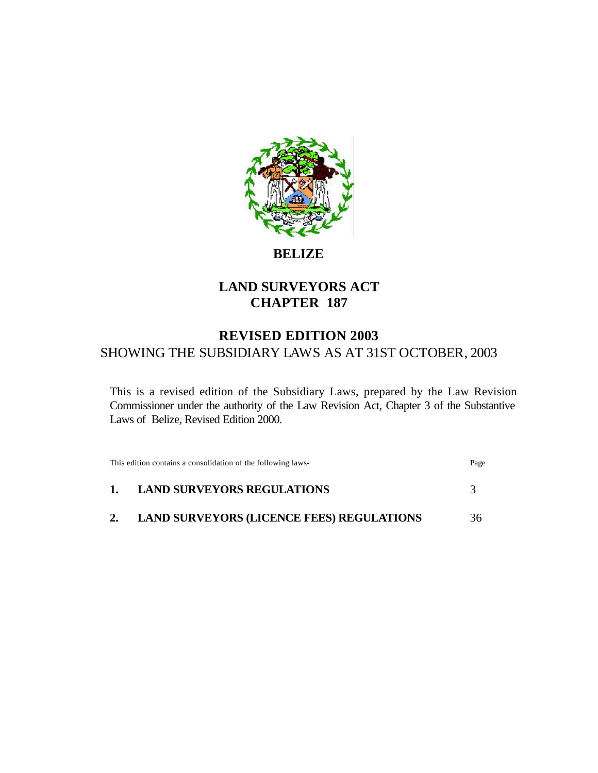

# **BELIZE**

# **LAND SURVEYORS ACT CHAPTER 187**

# **REVISED EDITION 2003** SHOWING THE SUBSIDIARY LAWS AS AT 31ST OCTOBER, 2003

This is a revised edition of the Subsidiary Laws, prepared by the Law Revision Commissioner under the authority of the Law Revision Act, Chapter 3 of the Substantive Laws of Belize, Revised Edition 2000.

| This edition contains a consolidation of the following laws- |                                                  | Page |
|--------------------------------------------------------------|--------------------------------------------------|------|
| $\mathbf{1}$ .                                               | <b>LAND SURVEYORS REGULATIONS</b>                |      |
| 2.                                                           | <b>LAND SURVEYORS (LICENCE FEES) REGULATIONS</b> | 36   |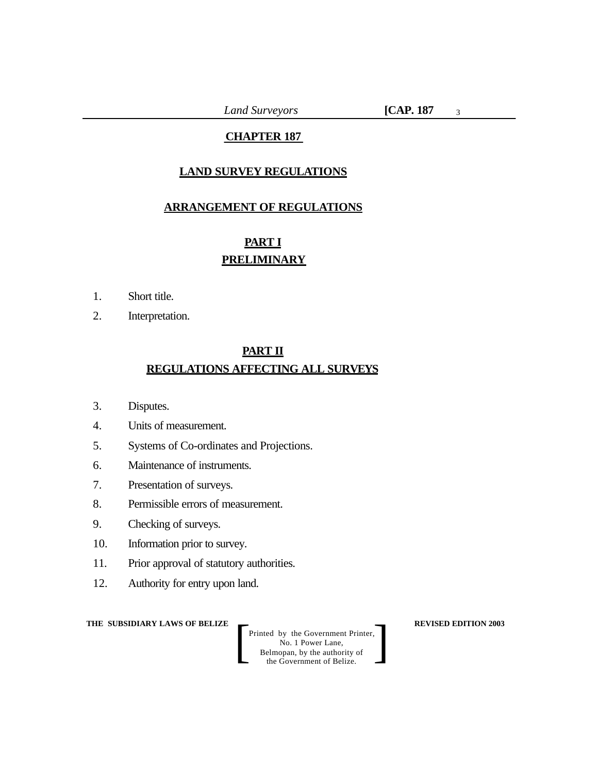*Land Surveyors* **[CAP. 187**

3

# **CHAPTER 187**

# **LAND SURVEY REGULATIONS**

# **ARRANGEMENT OF REGULATIONS**

# **PART I PRELIMINARY**

- 1. Short title.
- 2. Interpretation.

# **PART II REGULATIONS AFFECTING ALL SURVEYS**

- 3. Disputes.
- 4. Units of measurement.
- 5. Systems of Co-ordinates and Projections.
- 6. Maintenance of instruments.
- 7. Presentation of surveys.
- 8. Permissible errors of measurement.
- 9. Checking of surveys.
- 10. Information prior to survey.
- 11. Prior approval of statutory authorities.
- 12. Authority for entry upon land.

**THE SUBSIDIARY LAWS OF BELIZE**  $\qquad$  **REVISED EDITION 2003**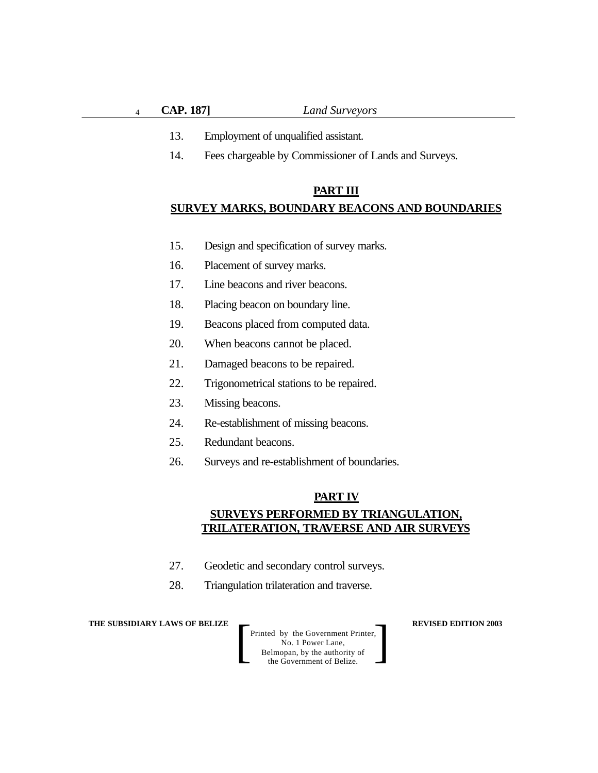4

- 13. Employment of unqualified assistant.
- 14. Fees chargeable by Commissioner of Lands and Surveys.

#### **PART III**

#### **SURVEY MARKS, BOUNDARY BEACONS AND BOUNDARIES**

- 15. Design and specification of survey marks.
- 16. Placement of survey marks.
- 17. Line beacons and river beacons.
- 18. Placing beacon on boundary line.
- 19. Beacons placed from computed data.
- 20. When beacons cannot be placed.
- 21. Damaged beacons to be repaired.
- 22. Trigonometrical stations to be repaired.
- 23. Missing beacons.
- 24. Re-establishment of missing beacons.
- 25. Redundant beacons.
- 26. Surveys and re-establishment of boundaries.

#### **PART IV**

# **SURVEYS PERFORMED BY TRIANGULATION, TRILATERATION, TRAVERSE AND AIR SURVEYS**

- 27. Geodetic and secondary control surveys.
- 28. Triangulation trilateration and traverse.

**THE SUBSIDIARY LAWS OF BELIZE**  $\qquad$  **REVISED EDITION 2003**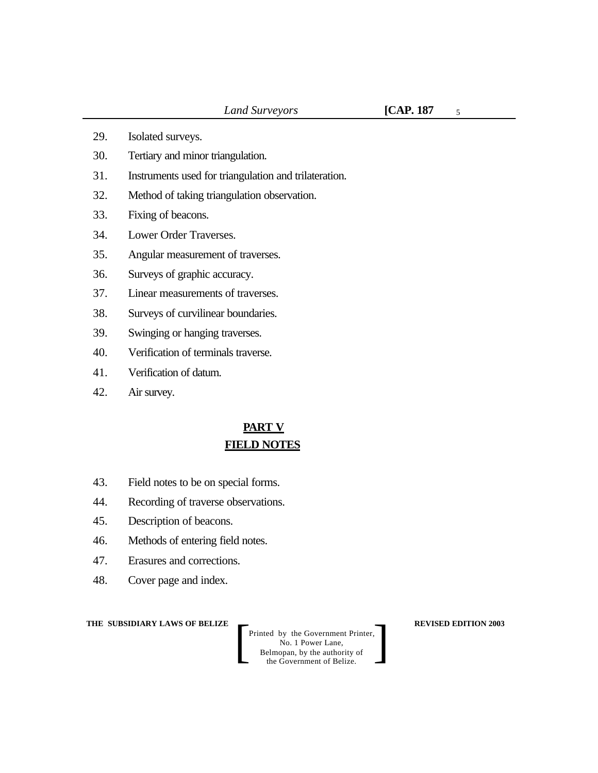5

- 29. Isolated surveys.
- 30. Tertiary and minor triangulation.
- 31. Instruments used for triangulation and trilateration.
- 32. Method of taking triangulation observation.
- 33. Fixing of beacons.
- 34. Lower Order Traverses.
- 35. Angular measurement of traverses.
- 36. Surveys of graphic accuracy.
- 37. Linear measurements of traverses.
- 38. Surveys of curvilinear boundaries.
- 39. Swinging or hanging traverses.
- 40. Verification of terminals traverse.
- 41. Verification of datum.
- 42. Air survey.

# **PART V FIELD NOTES**

- 43. Field notes to be on special forms.
- 44. Recording of traverse observations.
- 45. Description of beacons.
- 46. Methods of entering field notes.
- 47. Erasures and corrections.
- 48. Cover page and index.

**THE SUBSIDIARY LAWS OF BELIZE**  $\qquad$  **REVISED EDITION 2003**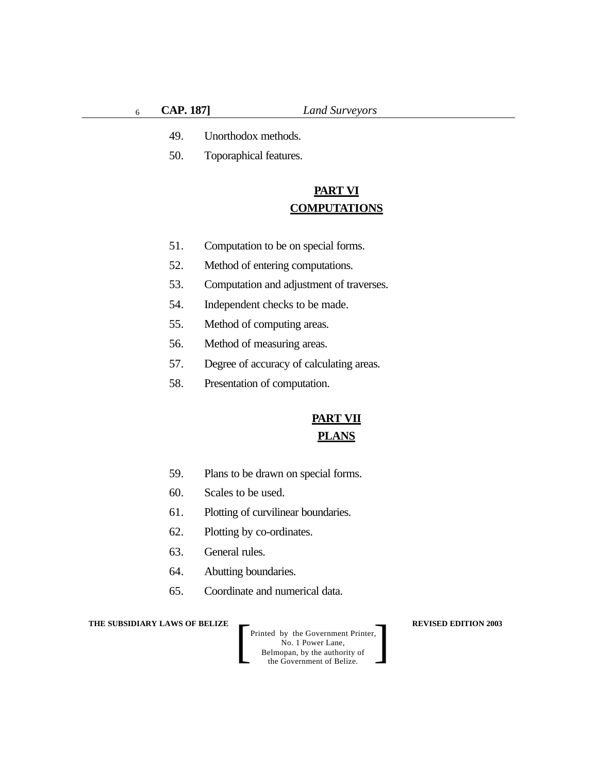- 49. Unorthodox methods.
- 50. Toporaphical features.

# **PART VI COMPUTATIONS**

- 51. Computation to be on special forms.
- 52. Method of entering computations.
- 53. Computation and adjustment of traverses.
- 54. Independent checks to be made.
- 55. Method of computing areas.
- 56. Method of measuring areas.
- 57. Degree of accuracy of calculating areas.
- 58. Presentation of computation.

# **PART VII PLANS**

- 59. Plans to be drawn on special forms.
- 60. Scales to be used.
- 61. Plotting of curvilinear boundaries.
- 62. Plotting by co-ordinates.
- 63. General rules.
- 64. Abutting boundaries.
- 65. Coordinate and numerical data.

**THE SUBSIDIARY LAWS OF BELIZE REVISED EDITION 2003**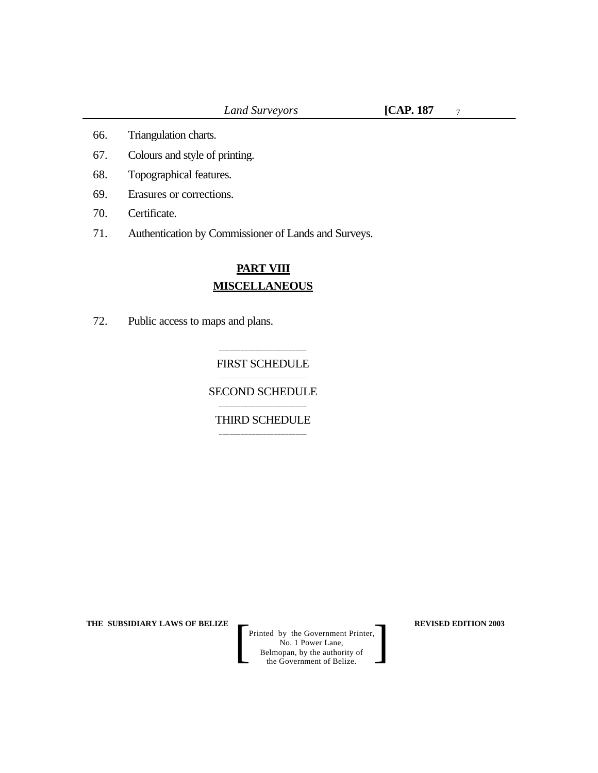7

- 66. Triangulation charts.
- 67. Colours and style of printing.
- 68. Topographical features.
- 69. Erasures or corrections.
- 70. Certificate.
- 71. Authentication by Commissioner of Lands and Surveys.

# **PART VIII MISCELLANEOUS**

72. Public access to maps and plans.

#### \_\_\_\_\_\_\_\_\_\_\_\_\_\_\_\_\_\_\_\_\_\_\_\_ FIRST SCHEDULE \_\_\_\_\_\_\_\_\_\_\_\_\_\_\_\_\_\_\_\_\_\_\_\_

SECOND SCHEDULE \_\_\_\_\_\_\_\_\_\_\_\_\_\_\_\_\_\_\_\_\_\_\_\_

THIRD SCHEDULE \_\_\_\_\_\_\_\_\_\_\_\_\_\_\_\_\_\_\_\_\_\_\_\_

**THE SUBSIDIARY LAWS OF BELIZE REVISED EDITION 2003**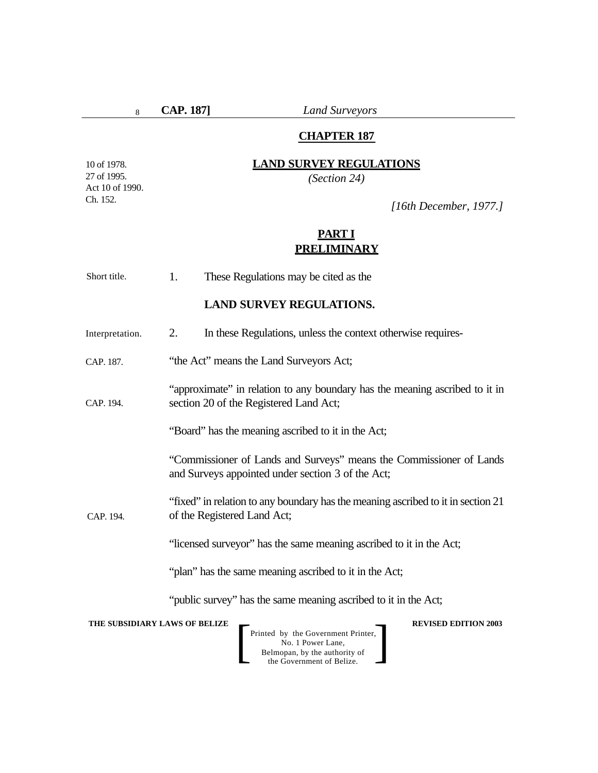8

**CAP. 187]** *Land Surveyors*

# **CHAPTER 187**

# **LAND SURVEY REGULATIONS**

*(Section 24)*

10 of 1978. 27 of 1995. Act 10 of 1990. Ch. 152.

*[16th December, 1977.]*

# **PART I PRELIMINARY**

| Short title.                  | These Regulations may be cited as the<br>1.                                                                              |  |  |  |
|-------------------------------|--------------------------------------------------------------------------------------------------------------------------|--|--|--|
|                               | <b>LAND SURVEY REGULATIONS.</b>                                                                                          |  |  |  |
| Interpretation.               | In these Regulations, unless the context otherwise requires-<br>2.                                                       |  |  |  |
| CAP. 187.                     | "the Act" means the Land Surveyors Act;                                                                                  |  |  |  |
| CAP. 194.                     | "approximate" in relation to any boundary has the meaning ascribed to it in<br>section 20 of the Registered Land Act;    |  |  |  |
|                               | "Board" has the meaning ascribed to it in the Act;                                                                       |  |  |  |
|                               | "Commissioner of Lands and Surveys" means the Commissioner of Lands<br>and Surveys appointed under section 3 of the Act; |  |  |  |
| CAP. 194.                     | "fixed" in relation to any boundary has the meaning ascribed to it in section 21<br>of the Registered Land Act;          |  |  |  |
|                               | "licensed surveyor" has the same meaning ascribed to it in the Act;                                                      |  |  |  |
|                               | "plan" has the same meaning ascribed to it in the Act;                                                                   |  |  |  |
|                               | "public survey" has the same meaning ascribed to it in the Act;                                                          |  |  |  |
| THE SUBSIDIARY LAWS OF BELIZE | <b>REVISED EDITION 2003</b>                                                                                              |  |  |  |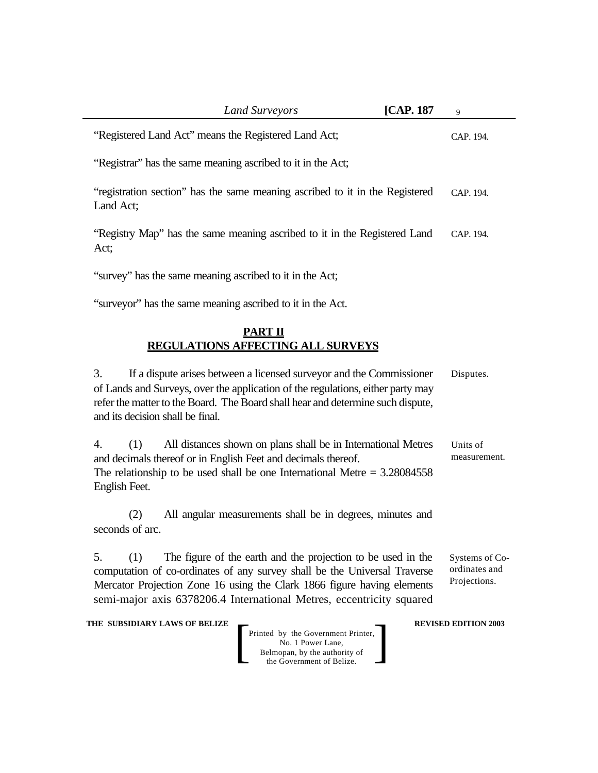| <b>Land Surveyors</b>                                                                                                                                                                                                                                                                                     | [CAP. 187 | 9                                               |
|-----------------------------------------------------------------------------------------------------------------------------------------------------------------------------------------------------------------------------------------------------------------------------------------------------------|-----------|-------------------------------------------------|
| "Registered Land Act" means the Registered Land Act;                                                                                                                                                                                                                                                      |           | CAP. 194.                                       |
| "Registrar" has the same meaning ascribed to it in the Act;                                                                                                                                                                                                                                               |           |                                                 |
| "registration section" has the same meaning ascribed to it in the Registered<br>Land Act;                                                                                                                                                                                                                 |           | CAP. 194.                                       |
| "Registry Map" has the same meaning ascribed to it in the Registered Land<br>Act;                                                                                                                                                                                                                         |           | CAP. 194.                                       |
| "survey" has the same meaning ascribed to it in the Act;                                                                                                                                                                                                                                                  |           |                                                 |
| "surveyor" has the same meaning ascribed to it in the Act.                                                                                                                                                                                                                                                |           |                                                 |
| PART II<br><b>REGULATIONS AFFECTING ALL SURVEYS</b>                                                                                                                                                                                                                                                       |           |                                                 |
| 3.<br>If a dispute arises between a licensed surveyor and the Commissioner<br>of Lands and Surveys, over the application of the regulations, either party may<br>refer the matter to the Board. The Board shall hear and determine such dispute,<br>and its decision shall be final.                      |           | Disputes.                                       |
| All distances shown on plans shall be in International Metres<br>4.<br>(1)<br>and decimals thereof or in English Feet and decimals thereof.<br>The relationship to be used shall be one International Metre $= 3.28084558$<br>English Feet.                                                               |           | Units of<br>measurement.                        |
| All angular measurements shall be in degrees, minutes and<br>(2)<br>seconds of arc.                                                                                                                                                                                                                       |           |                                                 |
| The figure of the earth and the projection to be used in the<br>5.<br>(1)<br>computation of co-ordinates of any survey shall be the Universal Traverse<br>Mercator Projection Zone 16 using the Clark 1866 figure having elements<br>semi-major axis 6378206.4 International Metres, eccentricity squared |           | Systems of Co-<br>ordinates and<br>Projections. |
| THE SUBSIDIARY LAWS OF BELIZE<br>Printed by the Government Printer,<br>No. 1 Power Lane,<br>Belmopan, by the authority of<br>the Government of Belize.                                                                                                                                                    |           | <b>REVISED EDITION 2003</b>                     |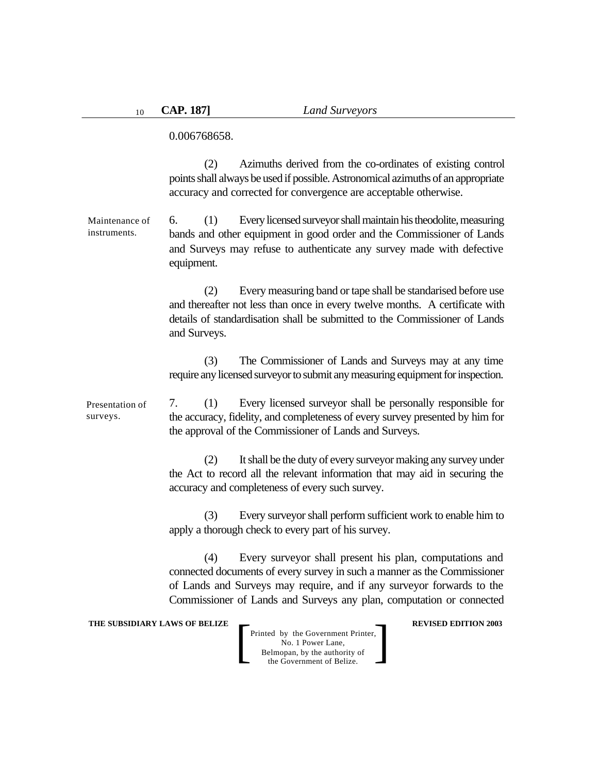0.006768658.

(2) Azimuths derived from the co-ordinates of existing control points shall always be used if possible. Astronomical azimuths of an appropriate accuracy and corrected for convergence are acceptable otherwise.

6. (1) Every licensed surveyor shall maintain his theodolite, measuring bands and other equipment in good order and the Commissioner of Lands and Surveys may refuse to authenticate any survey made with defective equipment. Maintenance of instruments.

> (2) Every measuring band or tape shall be standarised before use and thereafter not less than once in every twelve months. A certificate with details of standardisation shall be submitted to the Commissioner of Lands and Surveys.

> (3) The Commissioner of Lands and Surveys may at any time require any licensed surveyor to submit any measuring equipment for inspection.

7. (1) Every licensed surveyor shall be personally responsible for the accuracy, fidelity, and completeness of every survey presented by him for the approval of the Commissioner of Lands and Surveys. Presentation of surveys.

> (2) It shall be the duty of every surveyor making any survey under the Act to record all the relevant information that may aid in securing the accuracy and completeness of every such survey.

> (3) Every surveyor shall perform sufficient work to enable him to apply a thorough check to every part of his survey.

> (4) Every surveyor shall present his plan, computations and connected documents of every survey in such a manner as the Commissioner of Lands and Surveys may require, and if any surveyor forwards to the Commissioner of Lands and Surveys any plan, computation or connected

**THE SUBSIDIARY LAWS OF BELIZE**  $\qquad$  **REVISED EDITION 2003**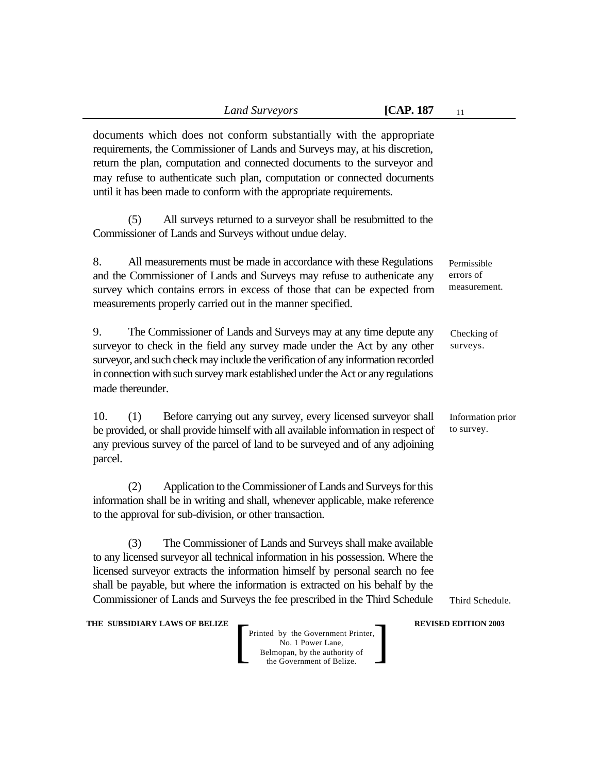documents which does not conform substantially with the appropriate requirements, the Commissioner of Lands and Surveys may, at his discretion, return the plan, computation and connected documents to the surveyor and may refuse to authenticate such plan, computation or connected documents until it has been made to conform with the appropriate requirements.

(5) All surveys returned to a surveyor shall be resubmitted to the Commissioner of Lands and Surveys without undue delay.

8. All measurements must be made in accordance with these Regulations and the Commissioner of Lands and Surveys may refuse to authenicate any survey which contains errors in excess of those that can be expected from measurements properly carried out in the manner specified.

9. The Commissioner of Lands and Surveys may at any time depute any surveyor to check in the field any survey made under the Act by any other surveyor, and such check may include the verification of any information recorded in connection with such survey mark established under the Act or any regulations made thereunder.

10. (1) Before carrying out any survey, every licensed surveyor shall be provided, or shall provide himself with all available information in respect of any previous survey of the parcel of land to be surveyed and of any adjoining parcel.

(2) Application to the Commissioner of Lands and Surveys for this information shall be in writing and shall, whenever applicable, make reference to the approval for sub-division, or other transaction.

(3) The Commissioner of Lands and Surveys shall make available to any licensed surveyor all technical information in his possession. Where the licensed surveyor extracts the information himself by personal search no fee shall be payable, but where the information is extracted on his behalf by the Commissioner of Lands and Surveys the fee prescribed in the Third Schedule

**THE SUBSIDIARY LAWS OF BELIZE**  $\qquad$  **REVISED EDITION 2003** 

Printed by the Government Printer, No. 1 Power Lane, Belmopan, by the authority of Printed by the Government Printer,<br>
No. 1 Power Lane,<br>
Belmopan, by the authority of<br>
the Government of Belize. Permissible errors of measurement.

Checking of surveys.

Information prior to survey.

Third Schedule.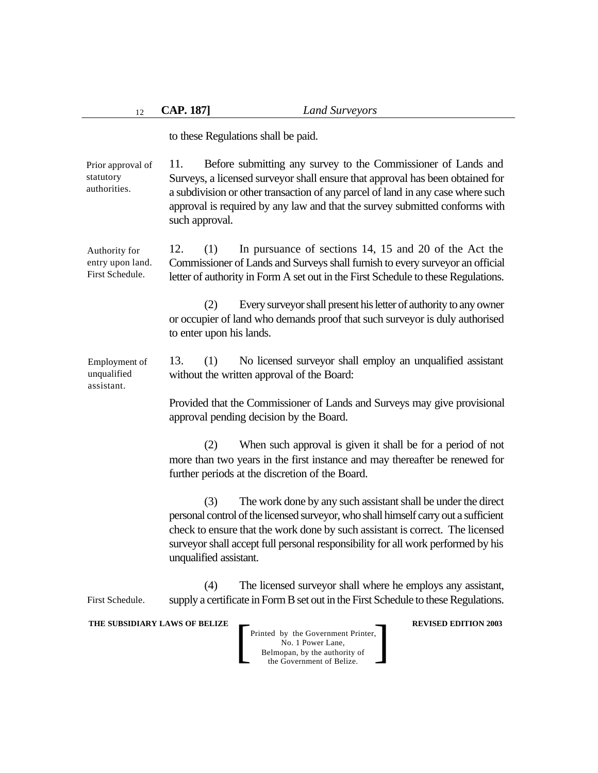to these Regulations shall be paid.

11. Before submitting any survey to the Commissioner of Lands and Surveys, a licensed surveyor shall ensure that approval has been obtained for a subdivision or other transaction of any parcel of land in any case where such approval is required by any law and that the survey submitted conforms with such approval. Prior approval of statutory authorities.

12. (1) In pursuance of sections 14, 15 and 20 of the Act the Commissioner of Lands and Surveys shall furnish to every surveyor an official letter of authority in Form A set out in the First Schedule to these Regulations. Authority for entry upon land. First Schedule.

> (2) Every surveyor shall present his letter of authority to any owner or occupier of land who demands proof that such surveyor is duly authorised to enter upon his lands.

13. (1) No licensed surveyor shall employ an unqualified assistant without the written approval of the Board: Employment of unqualified assistant.

> Provided that the Commissioner of Lands and Surveys may give provisional approval pending decision by the Board.

> (2) When such approval is given it shall be for a period of not more than two years in the first instance and may thereafter be renewed for further periods at the discretion of the Board.

> (3) The work done by any such assistant shall be under the direct personal control of the licensed surveyor, who shall himself carry out a sufficient check to ensure that the work done by such assistant is correct. The licensed surveyor shall accept full personal responsibility for all work performed by his unqualified assistant.

(4) The licensed surveyor shall where he employs any assistant, supply a certificate in Form B set out in the First Schedule to these Regulations. First Schedule.

#### **THE SUBSIDIARY LAWS OF BELIZE**  $\qquad$  **REVISED EDITION 2003**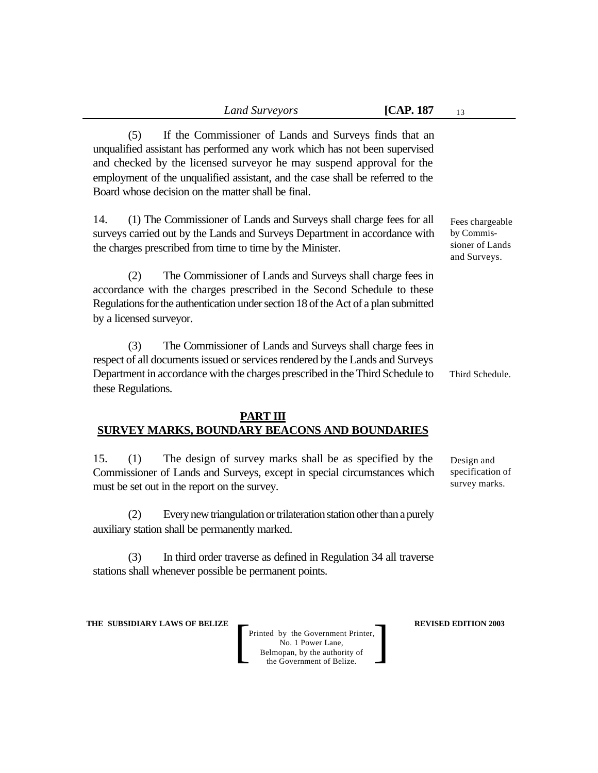(5) If the Commissioner of Lands and Surveys finds that an unqualified assistant has performed any work which has not been supervised and checked by the licensed surveyor he may suspend approval for the employment of the unqualified assistant, and the case shall be referred to the Board whose decision on the matter shall be final.

14. (1) The Commissioner of Lands and Surveys shall charge fees for all surveys carried out by the Lands and Surveys Department in accordance with the charges prescribed from time to time by the Minister.

(2) The Commissioner of Lands and Surveys shall charge fees in accordance with the charges prescribed in the Second Schedule to these Regulations for the authentication under section 18 of the Act of a plan submitted by a licensed surveyor.

(3) The Commissioner of Lands and Surveys shall charge fees in respect of all documents issued or services rendered by the Lands and Surveys Department in accordance with the charges prescribed in the Third Schedule to these Regulations.

## **PART III SURVEY MARKS, BOUNDARY BEACONS AND BOUNDARIES**

15. (1) The design of survey marks shall be as specified by the Commissioner of Lands and Surveys, except in special circumstances which must be set out in the report on the survey.

(2) Every new triangulation or trilateration station other than a purely auxiliary station shall be permanently marked.

(3) In third order traverse as defined in Regulation 34 all traverse stations shall whenever possible be permanent points.

**THE SUBSIDIARY LAWS OF BELIZE**  $\qquad$  **REVISED EDITION 2003** 

Printed by the Government Printer, No. 1 Power Lane, Belmopan, by the authority of Printed by the Government Printer,<br>
No. 1 Power Lane,<br>
Belmopan, by the authority of<br>
the Government of Belize.

Fees chargeable by Commissioner of Lands and Surveys.

Third Schedule.

Design and specification of survey marks.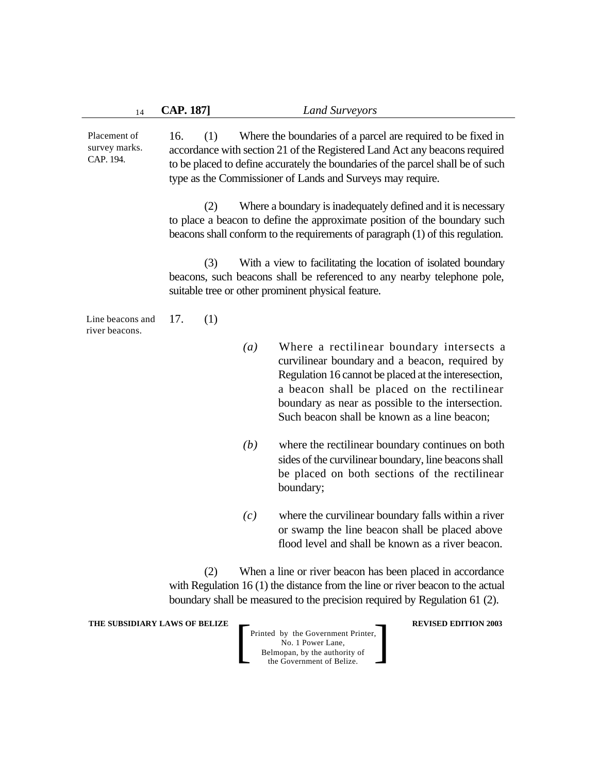| 14                                                                                                                                                                                                                                 | <b>CAP. 187]</b>                                                                                                                                                                                                                                                                                          | <b>Land Surveyors</b>                                                                                                                                                                                                                                                                                   |  |  |
|------------------------------------------------------------------------------------------------------------------------------------------------------------------------------------------------------------------------------------|-----------------------------------------------------------------------------------------------------------------------------------------------------------------------------------------------------------------------------------------------------------------------------------------------------------|---------------------------------------------------------------------------------------------------------------------------------------------------------------------------------------------------------------------------------------------------------------------------------------------------------|--|--|
| Placement of<br>survey marks.<br>CAP. 194.                                                                                                                                                                                         | Where the boundaries of a parcel are required to be fixed in<br>16.<br>(1)<br>accordance with section 21 of the Registered Land Act any beacons required<br>to be placed to define accurately the boundaries of the parcel shall be of such<br>type as the Commissioner of Lands and Surveys may require. |                                                                                                                                                                                                                                                                                                         |  |  |
|                                                                                                                                                                                                                                    | Where a boundary is inadequately defined and it is necessary<br>(2)<br>to place a beacon to define the approximate position of the boundary such<br>beacons shall conform to the requirements of paragraph (1) of this regulation.                                                                        |                                                                                                                                                                                                                                                                                                         |  |  |
|                                                                                                                                                                                                                                    | (3)                                                                                                                                                                                                                                                                                                       | With a view to facilitating the location of isolated boundary<br>beacons, such beacons shall be referenced to any nearby telephone pole,<br>suitable tree or other prominent physical feature.                                                                                                          |  |  |
| Line beacons and<br>river beacons.                                                                                                                                                                                                 | 17.<br>(1)                                                                                                                                                                                                                                                                                                |                                                                                                                                                                                                                                                                                                         |  |  |
|                                                                                                                                                                                                                                    | $\left(a\right)$                                                                                                                                                                                                                                                                                          | Where a rectilinear boundary intersects a<br>curvilinear boundary and a beacon, required by<br>Regulation 16 cannot be placed at the interesection,<br>a beacon shall be placed on the rectilinear<br>boundary as near as possible to the intersection.<br>Such beacon shall be known as a line beacon; |  |  |
|                                                                                                                                                                                                                                    | (b)                                                                                                                                                                                                                                                                                                       | where the rectilinear boundary continues on both<br>sides of the curvilinear boundary, line beacons shall<br>be placed on both sections of the rectilinear<br>boundary;                                                                                                                                 |  |  |
|                                                                                                                                                                                                                                    | (c)                                                                                                                                                                                                                                                                                                       | where the curvilinear boundary falls within a river<br>or swamp the line beacon shall be placed above<br>flood level and shall be known as a river beacon.                                                                                                                                              |  |  |
| (2)<br>When a line or river beacon has been placed in accordance<br>with Regulation $16(1)$ the distance from the line or river beacon to the actual<br>boundary shall be measured to the precision required by Regulation 61 (2). |                                                                                                                                                                                                                                                                                                           |                                                                                                                                                                                                                                                                                                         |  |  |
| <b>THE SUBSIDIARY LAWS OF BELIZE</b><br><b>REVISED EDITION 2003</b><br>Printed by the Government Printer,<br>No. 1 Power Lane,<br>Belmopan, by the authority of<br>the Government of Belize.                                       |                                                                                                                                                                                                                                                                                                           |                                                                                                                                                                                                                                                                                                         |  |  |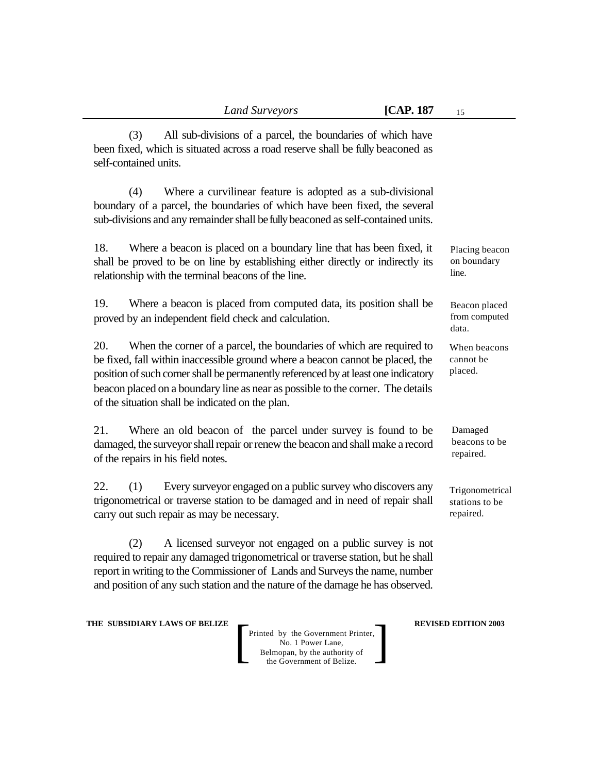(3) All sub-divisions of a parcel, the boundaries of which have been fixed, which is situated across a road reserve shall be fully beaconed as self-contained units.

(4) Where a curvilinear feature is adopted as a sub-divisional boundary of a parcel, the boundaries of which have been fixed, the several sub-divisions and any remainder shall be fully beaconed as self-contained units.

18. Where a beacon is placed on a boundary line that has been fixed, it shall be proved to be on line by establishing either directly or indirectly its relationship with the terminal beacons of the line.

19. Where a beacon is placed from computed data, its position shall be proved by an independent field check and calculation.

20. When the corner of a parcel, the boundaries of which are required to be fixed, fall within inaccessible ground where a beacon cannot be placed, the position of such corner shall be permanently referenced by at least one indicatory beacon placed on a boundary line as near as possible to the corner. The details of the situation shall be indicated on the plan.

21. Where an old beacon of the parcel under survey is found to be damaged, the surveyor shall repair or renew the beacon and shall make a record of the repairs in his field notes.

22. (1) Every surveyor engaged on a public survey who discovers any trigonometrical or traverse station to be damaged and in need of repair shall carry out such repair as may be necessary.

(2) A licensed surveyor not engaged on a public survey is not required to repair any damaged trigonometrical or traverse station, but he shall report in writing to the Commissioner of Lands and Surveys the name, number and position of any such station and the nature of the damage he has observed.

**THE SUBSIDIARY LAWS OF BELIZE**  $\qquad$  **REVISED EDITION 2003** 

Printed by the Government Printer, No. 1 Power Lane, Belmopan, by the authority of Printed by the Government Printer,<br>
No. 1 Power Lane,<br>
Belmopan, by the authority of<br>
the Government of Belize. Placing beacon on boundary line.

Beacon placed from computed data.

When beacons cannot be placed.

Damaged beacons to be repaired.

Trigonometrical stations to be repaired.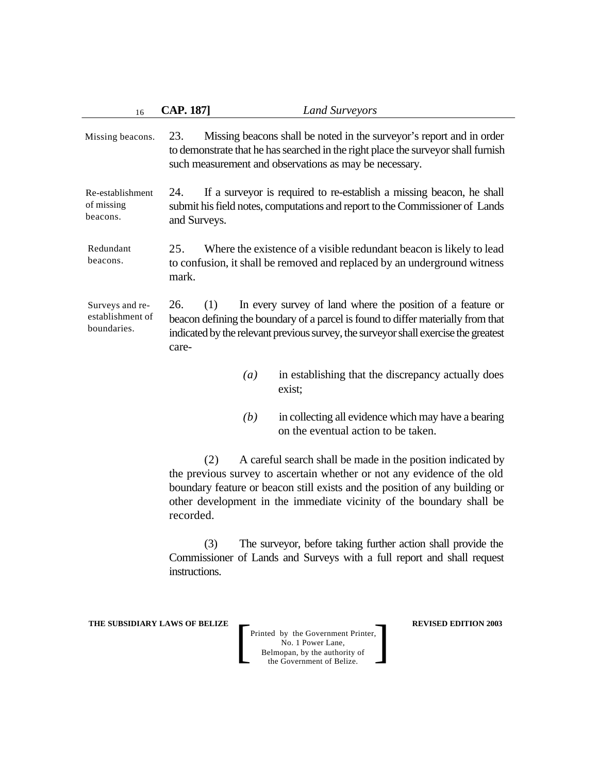| 16                                                 | <b>CAP. 187]</b><br><b>Land Surveyors</b>                                                                                                                                                                                                                    |  |  |  |
|----------------------------------------------------|--------------------------------------------------------------------------------------------------------------------------------------------------------------------------------------------------------------------------------------------------------------|--|--|--|
| Missing beacons.                                   | Missing beacons shall be noted in the surveyor's report and in order<br>23.<br>to demonstrate that he has searched in the right place the surveyor shall furnish<br>such measurement and observations as may be necessary.                                   |  |  |  |
| Re-establishment<br>of missing<br>beacons.         | If a surveyor is required to re-establish a missing beacon, he shall<br>24.<br>submit his field notes, computations and report to the Commissioner of Lands<br>and Surveys.                                                                                  |  |  |  |
| Redundant<br>beacons.                              | 25.<br>Where the existence of a visible redundant beacon is likely to lead<br>to confusion, it shall be removed and replaced by an underground witness<br>mark.                                                                                              |  |  |  |
| Surveys and re-<br>establishment of<br>boundaries. | In every survey of land where the position of a feature or<br>26.<br>(1)<br>beacon defining the boundary of a parcel is found to differ materially from that<br>indicated by the relevant previous survey, the surveyor shall exercise the greatest<br>care- |  |  |  |
|                                                    | in establishing that the discrepancy actually does<br>(a)<br>exist;                                                                                                                                                                                          |  |  |  |
|                                                    | in collecting all evidence which may have a bearing<br>(b)<br>on the eventual action to be taken.                                                                                                                                                            |  |  |  |
|                                                    | A careful search shall be made in the position indicated by<br>(2)<br>the previous survey to ascertain whether or not any evidence of the old                                                                                                                |  |  |  |

the previous survey to ascertain whether or not any evidence of the old boundary feature or beacon still exists and the position of any building or other development in the immediate vicinity of the boundary shall be recorded.

(3) The surveyor, before taking further action shall provide the Commissioner of Lands and Surveys with a full report and shall request instructions.

**THE SUBSIDIARY LAWS OF BELIZE REVISED EDITION 2003**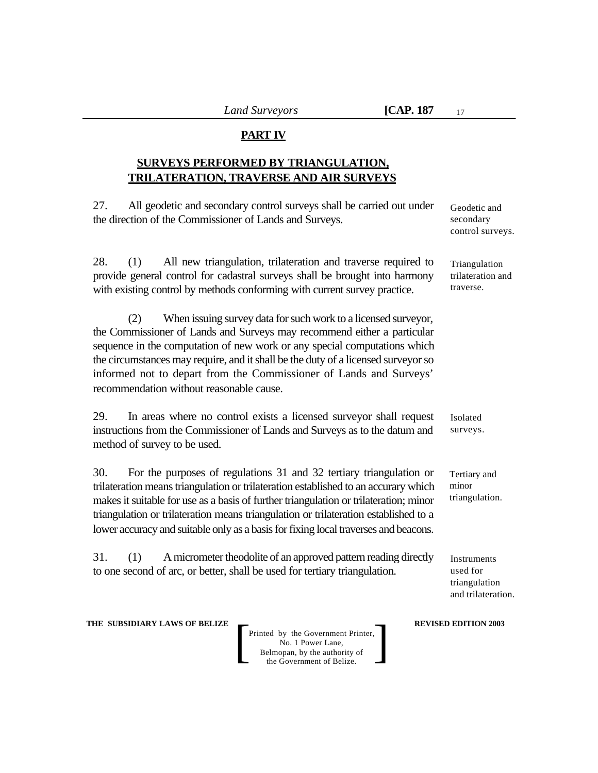### **PART IV**

## **SURVEYS PERFORMED BY TRIANGULATION, TRILATERATION, TRAVERSE AND AIR SURVEYS**

27. All geodetic and secondary control surveys shall be carried out under the direction of the Commissioner of Lands and Surveys.

28. (1) All new triangulation, trilateration and traverse required to provide general control for cadastral surveys shall be brought into harmony with existing control by methods conforming with current survey practice.

(2) When issuing survey data for such work to a licensed surveyor, the Commissioner of Lands and Surveys may recommend either a particular sequence in the computation of new work or any special computations which the circumstances may require, and it shall be the duty of a licensed surveyor so informed not to depart from the Commissioner of Lands and Surveys' recommendation without reasonable cause.

29. In areas where no control exists a licensed surveyor shall request instructions from the Commissioner of Lands and Surveys as to the datum and method of survey to be used.

30. For the purposes of regulations 31 and 32 tertiary triangulation or trilateration means triangulation or trilateration established to an accurary which makes it suitable for use as a basis of further triangulation or trilateration; minor triangulation or trilateration means triangulation or trilateration established to a lower accuracy and suitable only as a basis for fixing local traverses and beacons.

31. (1) A micrometer theodolite of an approved pattern reading directly to one second of arc, or better, shall be used for tertiary triangulation.

Geodetic and secondary control surveys.

Triangulation trilateration and traverse.

Isolated surveys.

Tertiary and minor triangulation.

Instruments used for triangulation and trilateration.

**THE SUBSIDIARY LAWS OF BELIZE**  $\qquad$  **REVISED EDITION 2003**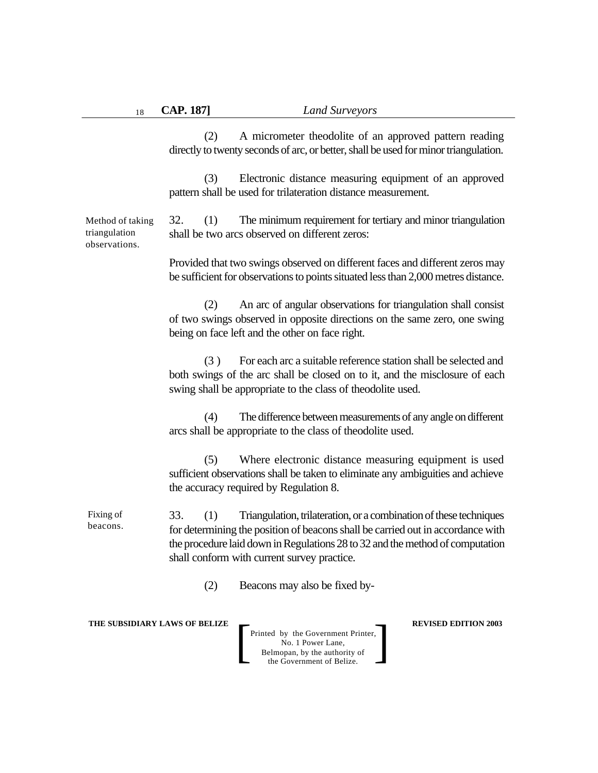(2) A micrometer theodolite of an approved pattern reading directly to twenty seconds of arc, or better, shall be used for minor triangulation.

(3) Electronic distance measuring equipment of an approved pattern shall be used for trilateration distance measurement.

32. (1) The minimum requirement for tertiary and minor triangulation shall be two arcs observed on different zeros: Method of taking triangulation observations.

> Provided that two swings observed on different faces and different zeros may be sufficient for observations to points situated less than 2,000 metres distance.

> (2) An arc of angular observations for triangulation shall consist of two swings observed in opposite directions on the same zero, one swing being on face left and the other on face right.

> (3 ) For each arc a suitable reference station shall be selected and both swings of the arc shall be closed on to it, and the misclosure of each swing shall be appropriate to the class of theodolite used.

> (4) The difference between measurements of any angle on different arcs shall be appropriate to the class of theodolite used.

> (5) Where electronic distance measuring equipment is used sufficient observations shall be taken to eliminate any ambiguities and achieve the accuracy required by Regulation 8.

33. (1) Triangulation, trilateration, or a combination of these techniques for determining the position of beacons shall be carried out in accordance with the procedure laid down in Regulations 28 to 32 and the method of computation shall conform with current survey practice. Fixing of beacons.

(2) Beacons may also be fixed by-

**THE SUBSIDIARY LAWS OF BELIZE**  $\qquad$  **REVISED EDITION 2003**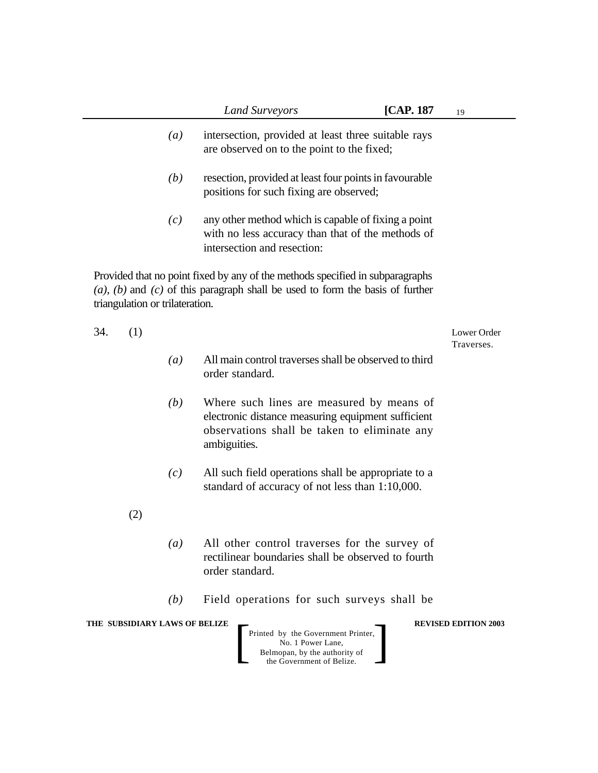|                                 | <b>Land Surveyors</b>                                                                                                                                                 | [CAP. 187] | 19                          |
|---------------------------------|-----------------------------------------------------------------------------------------------------------------------------------------------------------------------|------------|-----------------------------|
| (a)                             | intersection, provided at least three suitable rays<br>are observed on to the point to the fixed;                                                                     |            |                             |
| (b)                             | resection, provided at least four points in favourable<br>positions for such fixing are observed;                                                                     |            |                             |
| (c)                             | any other method which is capable of fixing a point<br>with no less accuracy than that of the methods of<br>intersection and resection:                               |            |                             |
| triangulation or trilateration. | Provided that no point fixed by any of the methods specified in subparagraphs<br>$(a)$ , $(b)$ and $(c)$ of this paragraph shall be used to form the basis of further |            |                             |
| 34.<br>(1)                      |                                                                                                                                                                       |            | Lower Order<br>Traverses.   |
| (a)                             | All main control traverses shall be observed to third<br>order standard.                                                                                              |            |                             |
| (b)                             | Where such lines are measured by means of<br>electronic distance measuring equipment sufficient<br>observations shall be taken to eliminate any<br>ambiguities.       |            |                             |
| (c)                             | All such field operations shall be appropriate to a<br>standard of accuracy of not less than 1:10,000.                                                                |            |                             |
| (2)                             |                                                                                                                                                                       |            |                             |
| $\left(a\right)$                | All other control traverses for the survey of<br>rectilinear boundaries shall be observed to fourth<br>order standard.                                                |            |                             |
| (b)                             | Field operations for such surveys shall be                                                                                                                            |            |                             |
| THE SUBSIDIARY LAWS OF BELIZE   | Printed by the Government Printer,<br>No. 1 Power Lane,<br>Belmopan, by the authority of<br>the Government of Belize.                                                 |            | <b>REVISED EDITION 2003</b> |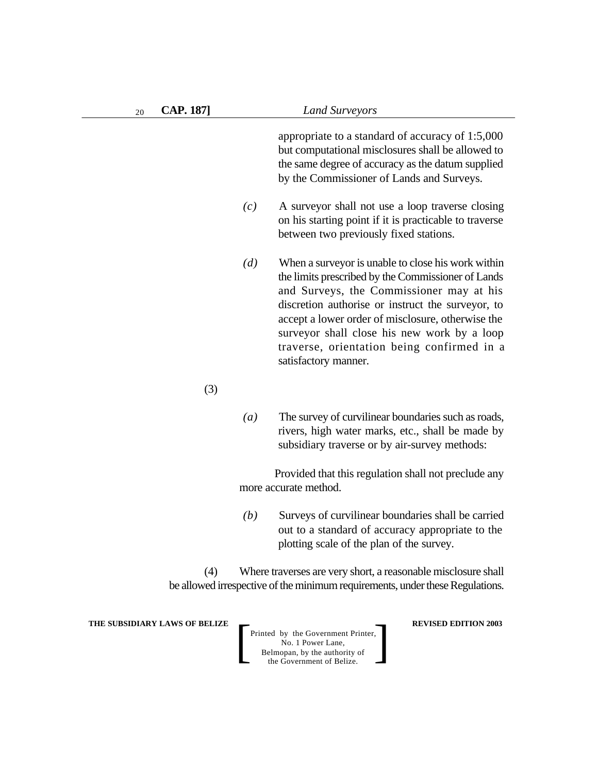appropriate to a standard of accuracy of 1:5,000 but computational misclosures shall be allowed to the same degree of accuracy as the datum supplied by the Commissioner of Lands and Surveys.

- *(c)* A surveyor shall not use a loop traverse closing on his starting point if it is practicable to traverse between two previously fixed stations.
- *(d)* When a surveyor is unable to close his work within the limits prescribed by the Commissioner of Lands and Surveys, the Commissioner may at his discretion authorise or instruct the surveyor, to accept a lower order of misclosure, otherwise the surveyor shall close his new work by a loop traverse, orientation being confirmed in a satisfactory manner.
- (3)
- *(a)* The survey of curvilinear boundaries such as roads, rivers, high water marks, etc., shall be made by subsidiary traverse or by air-survey methods:

Provided that this regulation shall not preclude any more accurate method.

*(b)* Surveys of curvilinear boundaries shall be carried out to a standard of accuracy appropriate to the plotting scale of the plan of the survey.

(4) Where traverses are very short, a reasonable misclosure shall be allowed irrespective of the minimum requirements, under these Regulations.

**THE SUBSIDIARY LAWS OF BELIZE**  $\qquad$  **REVISED EDITION 2003**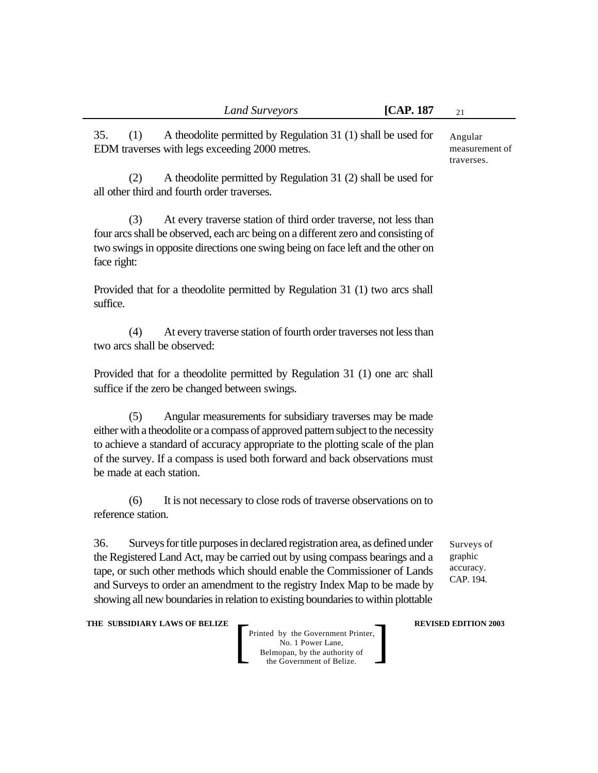35. (1) A theodolite permitted by Regulation 31 (1) shall be used for EDM traverses with legs exceeding 2000 metres.

(2) A theodolite permitted by Regulation 31 (2) shall be used for all other third and fourth order traverses.

(3) At every traverse station of third order traverse, not less than four arcs shall be observed, each arc being on a different zero and consisting of two swings in opposite directions one swing being on face left and the other on face right:

Provided that for a theodolite permitted by Regulation 31 (1) two arcs shall suffice.

(4) At every traverse station of fourth order traverses not less than two arcs shall be observed:

Provided that for a theodolite permitted by Regulation 31 (1) one arc shall suffice if the zero be changed between swings.

(5) Angular measurements for subsidiary traverses may be made either with a theodolite or a compass of approved pattern subject to the necessity to achieve a standard of accuracy appropriate to the plotting scale of the plan of the survey. If a compass is used both forward and back observations must be made at each station.

(6) It is not necessary to close rods of traverse observations on to reference station.

36. Surveys for title purposes in declared registration area, as defined under the Registered Land Act, may be carried out by using compass bearings and a tape, or such other methods which should enable the Commissioner of Lands and Surveys to order an amendment to the registry Index Map to be made by showing all new boundaries in relation to existing boundaries to within plottable

Surveys of graphic accuracy. CAP. 194.

**THE SUBSIDIARY LAWS OF BELIZE**  $\qquad$  **REVISED EDITION 2003** 

Printed by the Government Printer, No. 1 Power Lane, Belmopan, by the authority of Printed by the Government Printer,<br>
No. 1 Power Lane,<br>
Belmopan, by the authority of<br>
the Government of Belize.

Angular measurement of traverses.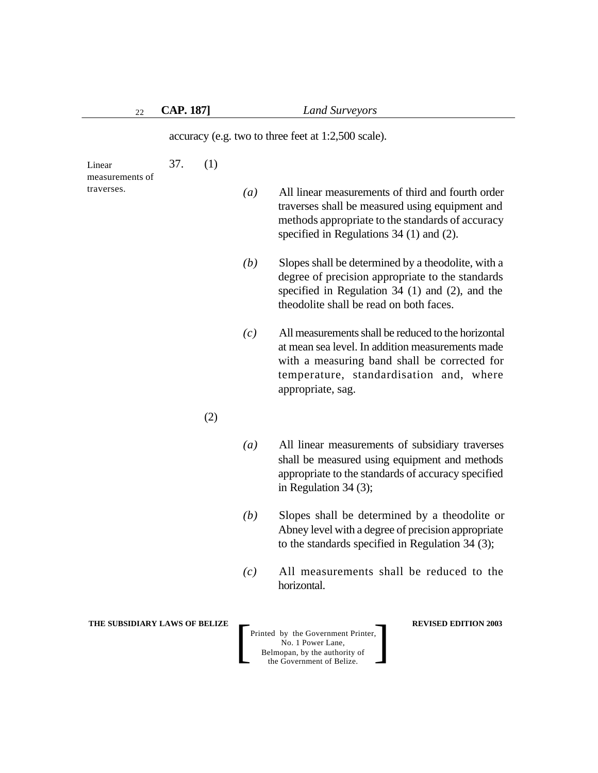accuracy (e.g. two to three feet at 1:2,500 scale).

| Linear<br>measurements of<br>traverses. | 37. | (1) |                  |                                                                                                                                                                                                                         |
|-----------------------------------------|-----|-----|------------------|-------------------------------------------------------------------------------------------------------------------------------------------------------------------------------------------------------------------------|
|                                         |     |     | $\left(a\right)$ | All linear measurements of third and fourth order<br>traverses shall be measured using equipment and<br>methods appropriate to the standards of accuracy<br>specified in Regulations $34(1)$ and $(2)$ .                |
|                                         |     |     | (b)              | Slopes shall be determined by a theodolite, with a<br>degree of precision appropriate to the standards<br>specified in Regulation $34$ (1) and (2), and the<br>theodolite shall be read on both faces.                  |
|                                         |     |     | (c)              | All measurements shall be reduced to the horizontal<br>at mean sea level. In addition measurements made<br>with a measuring band shall be corrected for<br>temperature, standardisation and, where<br>appropriate, sag. |
|                                         |     | (2) |                  |                                                                                                                                                                                                                         |
|                                         |     |     | $\left(a\right)$ | All linear measurements of subsidiary traverses<br>shall be measured using equipment and methods<br>appropriate to the standards of accuracy specified<br>in Regulation $34(3)$ ;                                       |
|                                         |     |     | (b)              | Slopes shall be determined by a theodolite or<br>Abney level with a degree of precision appropriate<br>to the standards specified in Regulation $34$ (3);                                                               |
|                                         |     |     | (c)              | All measurements shall be reduced to the<br>horizontal.                                                                                                                                                                 |
| THE SUBSIDIARY LAWS OF BELIZE           |     |     |                  | <b>REVISED EDITION 2003</b><br>Printed by the Government Printer,<br>No. 1 Power Lane,<br>Belmopan, by the authority of<br>the Government of Belize.                                                                    |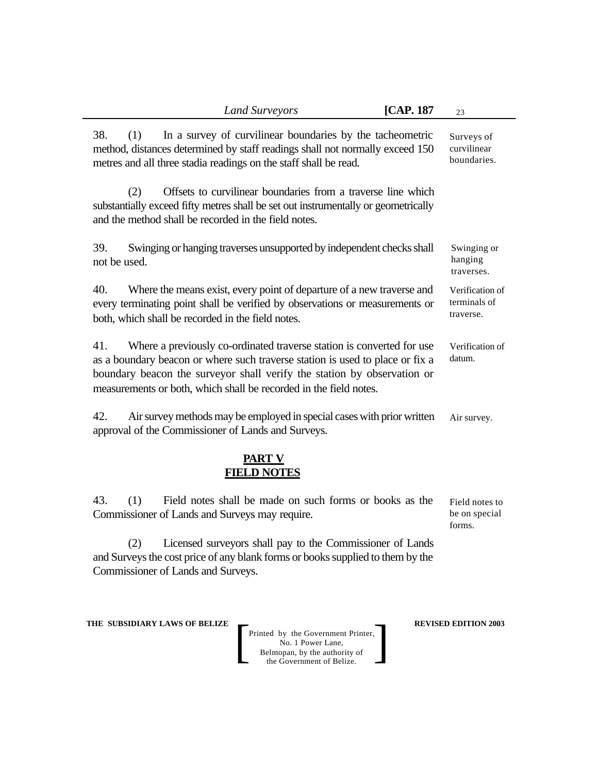| <b>Land Surveyors</b>                                                                                                                                                                                                                                                                                         | [CAP. 187 | 23                                           |  |  |
|---------------------------------------------------------------------------------------------------------------------------------------------------------------------------------------------------------------------------------------------------------------------------------------------------------------|-----------|----------------------------------------------|--|--|
| In a survey of curvilinear boundaries by the tacheometric<br>38.<br>(1)<br>method, distances determined by staff readings shall not normally exceed 150<br>metres and all three stadia readings on the staff shall be read.                                                                                   |           | Surveys of<br>curvilinear<br>boundaries.     |  |  |
| Offsets to curvilinear boundaries from a traverse line which<br>(2)<br>substantially exceed fifty metres shall be set out instrumentally or geometrically<br>and the method shall be recorded in the field notes.                                                                                             |           |                                              |  |  |
| 39.<br>Swinging or hanging traverses unsupported by independent checks shall<br>not be used.                                                                                                                                                                                                                  |           | Swinging or<br>hanging<br>traverses.         |  |  |
| 40.<br>Where the means exist, every point of departure of a new traverse and<br>every terminating point shall be verified by observations or measurements or<br>both, which shall be recorded in the field notes.                                                                                             |           | Verification of<br>terminals of<br>traverse. |  |  |
| 41.<br>Where a previously co-ordinated traverse station is converted for use<br>as a boundary beacon or where such traverse station is used to place or fix a<br>boundary beacon the surveyor shall verify the station by observation or<br>measurements or both, which shall be recorded in the field notes. |           | Verification of<br>datum.                    |  |  |
| 42.<br>Air survey methods may be employed in special cases with prior written<br>approval of the Commissioner of Lands and Surveys.                                                                                                                                                                           |           | Air survey.                                  |  |  |
| PART V<br><b>FIELD NOTES</b>                                                                                                                                                                                                                                                                                  |           |                                              |  |  |
| 43.<br>Field notes shall be made on such forms or books as the<br>(1)<br>Commissioner of Lands and Surveys may require.                                                                                                                                                                                       |           | Field notes to<br>be on special<br>forms.    |  |  |

(2) Licensed surveyors shall pay to the Commissioner of Lands and Surveys the cost price of any blank forms or books supplied to them by the Commissioner of Lands and Surveys.

**THE SUBSIDIARY LAWS OF BELIZE REVISED EDITION 2003**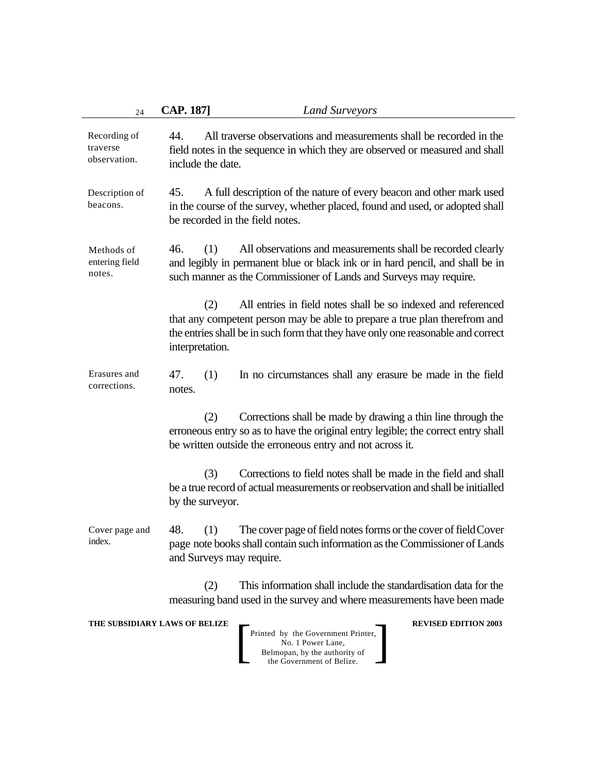| 24                                       | <b>CAP. 187]</b><br><b>Land Surveyors</b>                                                                                                                                                                                                                 |
|------------------------------------------|-----------------------------------------------------------------------------------------------------------------------------------------------------------------------------------------------------------------------------------------------------------|
| Recording of<br>traverse<br>observation. | All traverse observations and measurements shall be recorded in the<br>44.<br>field notes in the sequence in which they are observed or measured and shall<br>include the date.                                                                           |
| Description of<br>beacons.               | A full description of the nature of every beacon and other mark used<br>45.<br>in the course of the survey, whether placed, found and used, or adopted shall<br>be recorded in the field notes.                                                           |
| Methods of<br>entering field<br>notes.   | 46.<br>(1)<br>All observations and measurements shall be recorded clearly<br>and legibly in permanent blue or black ink or in hard pencil, and shall be in<br>such manner as the Commissioner of Lands and Surveys may require.                           |
|                                          | All entries in field notes shall be so indexed and referenced<br>(2)<br>that any competent person may be able to prepare a true plan therefrom and<br>the entries shall be in such form that they have only one reasonable and correct<br>interpretation. |
| Erasures and<br>corrections.             | 47.<br>(1)<br>In no circumstances shall any erasure be made in the field<br>notes.                                                                                                                                                                        |
|                                          | (2)<br>Corrections shall be made by drawing a thin line through the<br>erroneous entry so as to have the original entry legible; the correct entry shall<br>be written outside the erroneous entry and not across it.                                     |
|                                          | Corrections to field notes shall be made in the field and shall<br>(3)<br>be a true record of actual measurements or reobservation and shall be initialled<br>by the surveyor.                                                                            |
| Cover page and<br>index.                 | 48.<br>(1)<br>The cover page of field notes forms or the cover of field Cover<br>page note books shall contain such information as the Commissioner of Lands<br>and Surveys may require.                                                                  |
|                                          | This information shall include the standardisation data for the<br>(2)<br>measuring band used in the survey and where measurements have been made                                                                                                         |
|                                          | THE SUBSIDIARY LAWS OF BELIZE<br><b>REVISED EDITION 2003</b><br>Printed by the Government Printer,<br>No. 1 Power Lane,<br>Belmopan, by the authority of<br>the Government of Belize.                                                                     |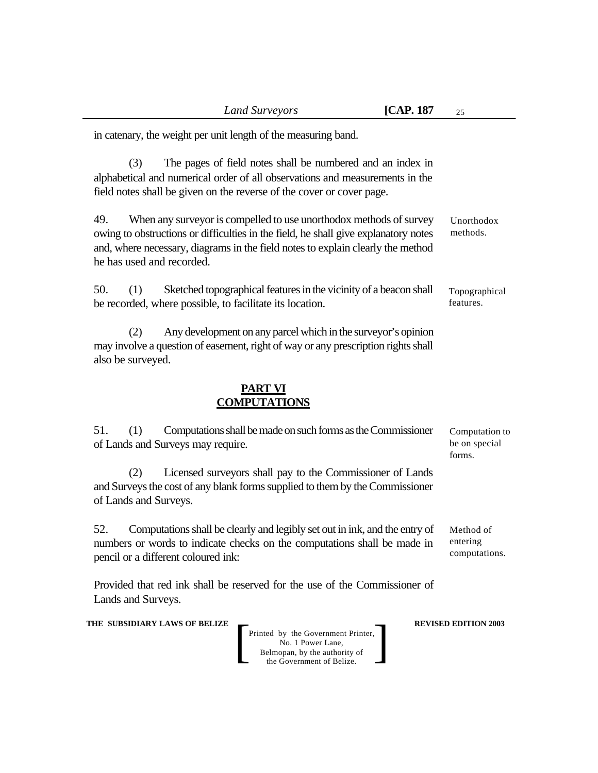in catenary, the weight per unit length of the measuring band.

(3) The pages of field notes shall be numbered and an index in alphabetical and numerical order of all observations and measurements in the field notes shall be given on the reverse of the cover or cover page.

49. When any surveyor is compelled to use unorthodox methods of survey owing to obstructions or difficulties in the field, he shall give explanatory notes and, where necessary, diagrams in the field notes to explain clearly the method he has used and recorded. Unorthodox methods.

50. (1) Sketched topographical features in the vicinity of a beacon shall be recorded, where possible, to facilitate its location.

(2) Any development on any parcel which in the surveyor's opinion may involve a question of easement, right of way or any prescription rights shall also be surveyed.

## **PART VI COMPUTATIONS**

51. (1) Computations shall be made on such forms as the Commissioner of Lands and Surveys may require.

(2) Licensed surveyors shall pay to the Commissioner of Lands and Surveys the cost of any blank forms supplied to them by the Commissioner of Lands and Surveys.

52. Computations shall be clearly and legibly set out in ink, and the entry of numbers or words to indicate checks on the computations shall be made in pencil or a different coloured ink:

Provided that red ink shall be reserved for the use of the Commissioner of Lands and Surveys.

**THE SUBSIDIARY LAWS OF BELIZE**  $\qquad$  **REVISED EDITION 2003** 

Printed by the Government Printer, No. 1 Power Lane, Belmopan, by the authority of Printed by the Government Printer,<br>
No. 1 Power Lane,<br>
Belmopan, by the authority of<br>
the Government of Belize.

Computation to be on special forms.

Topographical features.

Method of entering computations.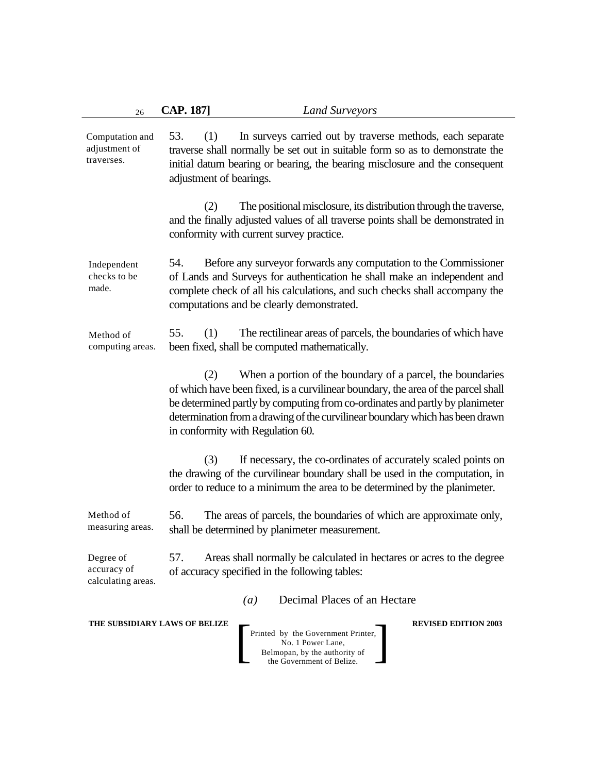| 26                                             | <b>CAP. 187]</b>                                                                                                                                                                                                                                                  | <b>Land Surveyors</b>                                                                                                                                                                                                                                                                                                                                 |                             |  |
|------------------------------------------------|-------------------------------------------------------------------------------------------------------------------------------------------------------------------------------------------------------------------------------------------------------------------|-------------------------------------------------------------------------------------------------------------------------------------------------------------------------------------------------------------------------------------------------------------------------------------------------------------------------------------------------------|-----------------------------|--|
| Computation and<br>adjustment of<br>traverses. | 53.<br>(1)<br>In surveys carried out by traverse methods, each separate<br>traverse shall normally be set out in suitable form so as to demonstrate the<br>initial datum bearing or bearing, the bearing misclosure and the consequent<br>adjustment of bearings. |                                                                                                                                                                                                                                                                                                                                                       |                             |  |
|                                                | (2)                                                                                                                                                                                                                                                               | The positional misclosure, its distribution through the traverse,<br>and the finally adjusted values of all traverse points shall be demonstrated in<br>conformity with current survey practice.                                                                                                                                                      |                             |  |
| Independent<br>checks to be<br>made.           | 54.                                                                                                                                                                                                                                                               | Before any surveyor forwards any computation to the Commissioner<br>of Lands and Surveys for authentication he shall make an independent and<br>complete check of all his calculations, and such checks shall accompany the<br>computations and be clearly demonstrated.                                                                              |                             |  |
| Method of<br>computing areas.                  | 55.<br>(1)                                                                                                                                                                                                                                                        | The rectilinear areas of parcels, the boundaries of which have<br>been fixed, shall be computed mathematically.                                                                                                                                                                                                                                       |                             |  |
|                                                | (2)                                                                                                                                                                                                                                                               | When a portion of the boundary of a parcel, the boundaries<br>of which have been fixed, is a curvilinear boundary, the area of the parcel shall<br>be determined partly by computing from co-ordinates and partly by planimeter<br>determination from a drawing of the curvilinear boundary which has been drawn<br>in conformity with Regulation 60. |                             |  |
|                                                | (3)                                                                                                                                                                                                                                                               | If necessary, the co-ordinates of accurately scaled points on<br>the drawing of the curvilinear boundary shall be used in the computation, in<br>order to reduce to a minimum the area to be determined by the planimeter.                                                                                                                            |                             |  |
| Method of<br>measuring areas.                  | 56.                                                                                                                                                                                                                                                               | The areas of parcels, the boundaries of which are approximate only,<br>shall be determined by planimeter measurement.                                                                                                                                                                                                                                 |                             |  |
| Degree of<br>accuracy of<br>calculating areas. | 57.                                                                                                                                                                                                                                                               | Areas shall normally be calculated in hectares or acres to the degree<br>of accuracy specified in the following tables:                                                                                                                                                                                                                               |                             |  |
|                                                |                                                                                                                                                                                                                                                                   | Decimal Places of an Hectare<br>(a)                                                                                                                                                                                                                                                                                                                   |                             |  |
| THE SUBSIDIARY LAWS OF BELIZE                  |                                                                                                                                                                                                                                                                   | Printed by the Government Printer,<br>No. 1 Power Lane,<br>Belmopan, by the authority of<br>the Government of Belize.                                                                                                                                                                                                                                 | <b>REVISED EDITION 2003</b> |  |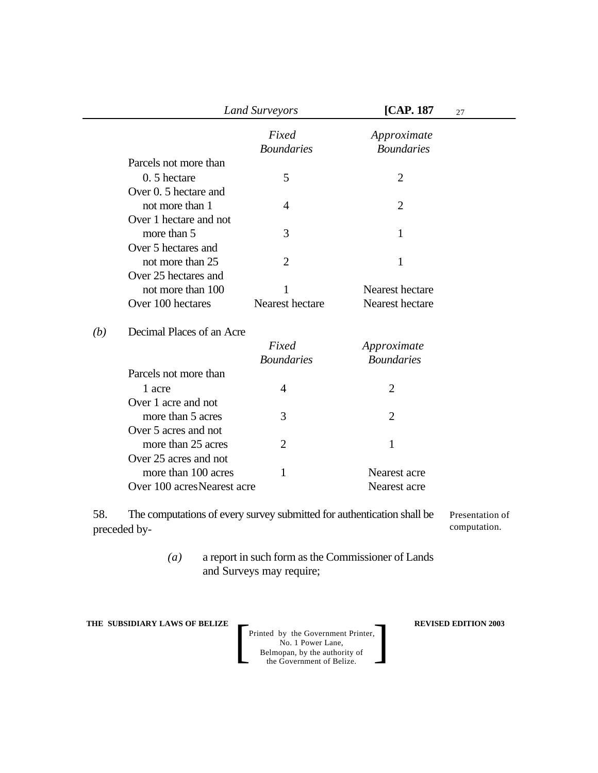|     | <b>Land Surveyors</b>      |                            | [CAP. 187]                       | 27 |
|-----|----------------------------|----------------------------|----------------------------------|----|
|     |                            | Fixed<br><b>Boundaries</b> | Approximate<br><b>Boundaries</b> |    |
|     | Parcels not more than      |                            |                                  |    |
|     | 0.5 hectare                | 5                          | $\overline{2}$                   |    |
|     | Over 0. 5 hectare and      |                            |                                  |    |
|     | not more than 1            | 4                          | $\overline{2}$                   |    |
|     | Over 1 hectare and not     |                            |                                  |    |
|     | more than 5                | 3                          | 1                                |    |
|     | Over 5 hectares and        |                            |                                  |    |
|     | not more than 25           | $\overline{2}$             | $\mathbf{1}$                     |    |
|     | Over 25 hectares and       |                            |                                  |    |
|     | not more than 100          | 1                          | Nearest hectare                  |    |
|     | Over 100 hectares          | Nearest hectare            | Nearest hectare                  |    |
| (b) | Decimal Places of an Acre  |                            |                                  |    |
|     |                            | Fixed                      | Approximate                      |    |
|     |                            | <b>Boundaries</b>          | <b>Boundaries</b>                |    |
|     | Parcels not more than      |                            |                                  |    |
|     | 1 acre                     | $\overline{4}$             | $\overline{2}$                   |    |
|     | Over 1 acre and not        |                            |                                  |    |
|     | more than 5 acres          | 3                          | $\overline{2}$                   |    |
|     | Over 5 acres and not       |                            |                                  |    |
|     | more than 25 acres         | $\overline{2}$             | 1                                |    |
|     | Over 25 acres and not      |                            |                                  |    |
|     | more than 100 acres        | 1                          | Nearest acre                     |    |
|     | Over 100 acresNearest acre |                            | Nearest acre                     |    |
|     |                            |                            |                                  |    |

58. The computations of every survey submitted for authentication shall be preceded by- Presentation of computation.

> *(a)* a report in such form as the Commissioner of Lands and Surveys may require;

**THE SUBSIDIARY LAWS OF BELIZE REVISED EDITION 2003**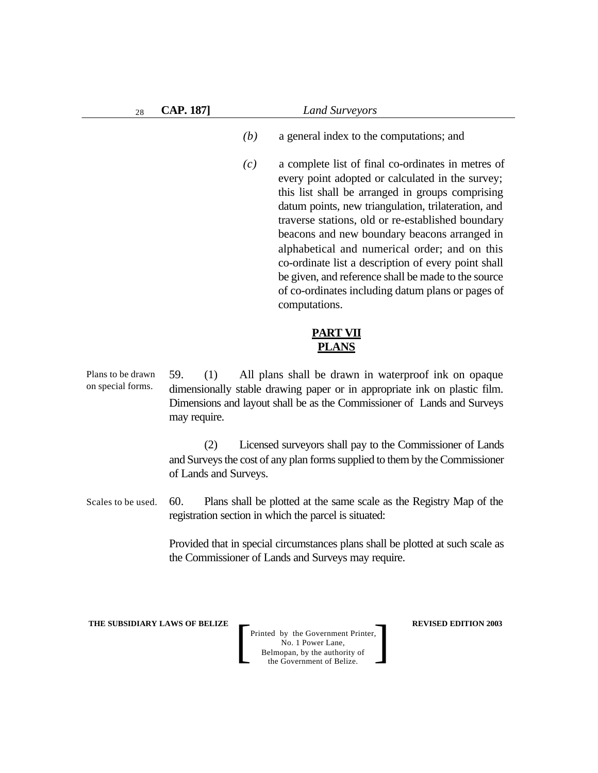| 28 | <b>CAP. 187]</b> | Land Surveyors                                                                                                                                                                                                                                                                                                                                                                                                                                                                                                                                                     |  |
|----|------------------|--------------------------------------------------------------------------------------------------------------------------------------------------------------------------------------------------------------------------------------------------------------------------------------------------------------------------------------------------------------------------------------------------------------------------------------------------------------------------------------------------------------------------------------------------------------------|--|
|    |                  | (b)<br>a general index to the computations; and                                                                                                                                                                                                                                                                                                                                                                                                                                                                                                                    |  |
|    |                  | a complete list of final co-ordinates in metres of<br>(c)<br>every point adopted or calculated in the survey;<br>this list shall be arranged in groups comprising<br>datum points, new triangulation, trilateration, and<br>traverse stations, old or re-established boundary<br>beacons and new boundary beacons arranged in<br>alphabetical and numerical order; and on this<br>co-ordinate list a description of every point shall<br>be given, and reference shall be made to the source<br>of co-ordinates including datum plans or pages of<br>computations. |  |
|    |                  |                                                                                                                                                                                                                                                                                                                                                                                                                                                                                                                                                                    |  |

# **PART VII PLANS**

59. (1) All plans shall be drawn in waterproof ink on opaque dimensionally stable drawing paper or in appropriate ink on plastic film. Dimensions and layout shall be as the Commissioner of Lands and Surveys may require. Plans to be drawn on special forms.

> (2) Licensed surveyors shall pay to the Commissioner of Lands and Surveys the cost of any plan forms supplied to them by the Commissioner of Lands and Surveys.

60. Plans shall be plotted at the same scale as the Registry Map of the registration section in which the parcel is situated: Scales to be used.

> Provided that in special circumstances plans shall be plotted at such scale as the Commissioner of Lands and Surveys may require.

**THE SUBSIDIARY LAWS OF BELIZE**  $\qquad$  **REVISED EDITION 2003**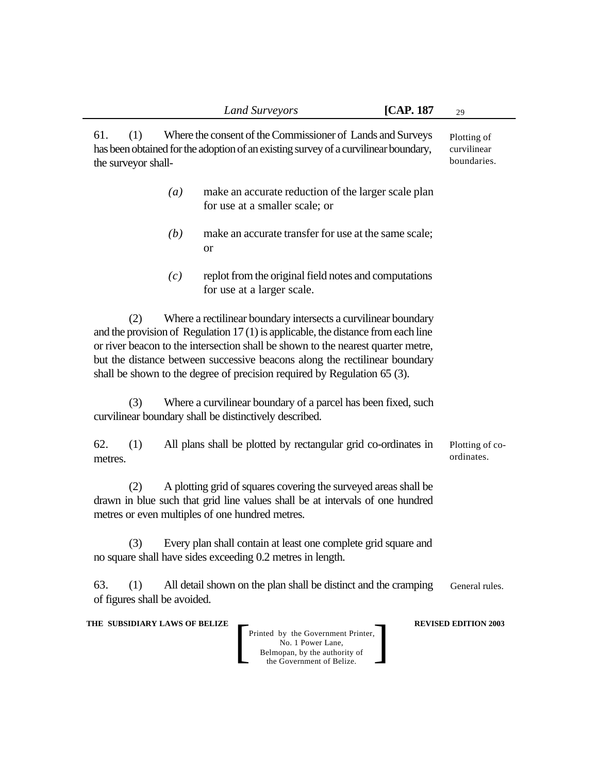61. (1) Where the consent of the Commissioner of Lands and Surveys has been obtained for the adoption of an existing survey of a curvilinear boundary, the surveyor shall- Plotting of curvilinear boundaries.

- *(a)* make an accurate reduction of the larger scale plan for use at a smaller scale; or
- *(b)* make an accurate transfer for use at the same scale; or
- *(c)* replot from the original field notes and computations for use at a larger scale.

(2) Where a rectilinear boundary intersects a curvilinear boundary and the provision of Regulation 17 (1) is applicable, the distance from each line or river beacon to the intersection shall be shown to the nearest quarter metre, but the distance between successive beacons along the rectilinear boundary shall be shown to the degree of precision required by Regulation 65 (3).

(3) Where a curvilinear boundary of a parcel has been fixed, such curvilinear boundary shall be distinctively described.

62. (1) All plans shall be plotted by rectangular grid co-ordinates in metres. Plotting of coordinates.

(2) A plotting grid of squares covering the surveyed areas shall be drawn in blue such that grid line values shall be at intervals of one hundred metres or even multiples of one hundred metres.

(3) Every plan shall contain at least one complete grid square and no square shall have sides exceeding 0.2 metres in length.

63. (1) All detail shown on the plan shall be distinct and the cramping of figures shall be avoided. General rules.

#### **THE SUBSIDIARY LAWS OF BELIZE**  $\qquad$  **REVISED EDITION 2003**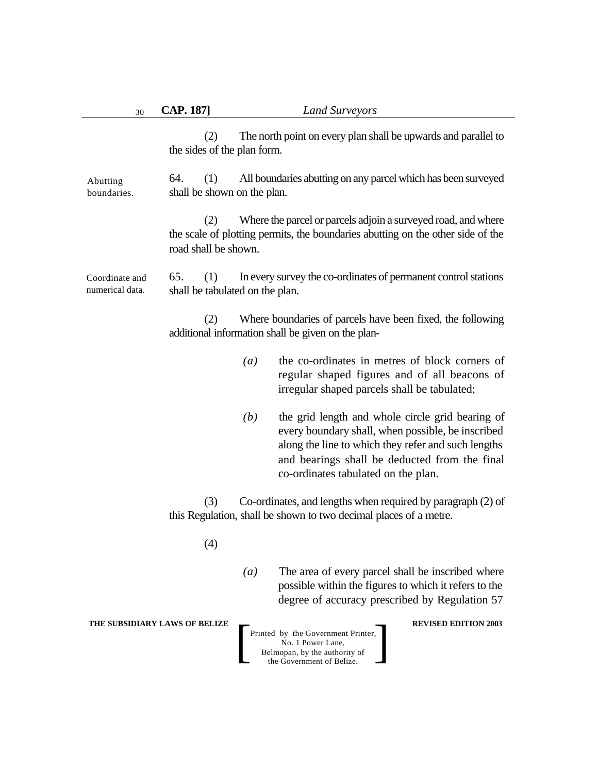| 30                                | <b>CAP. 187]</b>                              |                  | <b>Land Surveyors</b>                                                                                                                                                                                                                                |
|-----------------------------------|-----------------------------------------------|------------------|------------------------------------------------------------------------------------------------------------------------------------------------------------------------------------------------------------------------------------------------------|
|                                   | (2)<br>the sides of the plan form.            |                  | The north point on every plan shall be upwards and parallel to                                                                                                                                                                                       |
| Abutting<br>boundaries.           | 64.<br>(1)<br>shall be shown on the plan.     |                  | All boundaries abutting on any parcel which has been surveyed                                                                                                                                                                                        |
|                                   | (2)<br>road shall be shown.                   |                  | Where the parcel or parcels adjoin a surveyed road, and where<br>the scale of plotting permits, the boundaries abutting on the other side of the                                                                                                     |
| Coordinate and<br>numerical data. | 65.<br>(1)<br>shall be tabulated on the plan. |                  | In every survey the co-ordinates of permanent control stations                                                                                                                                                                                       |
|                                   | (2)                                           |                  | Where boundaries of parcels have been fixed, the following<br>additional information shall be given on the plan-                                                                                                                                     |
|                                   |                                               | $\left(a\right)$ | the co-ordinates in metres of block corners of<br>regular shaped figures and of all beacons of<br>irregular shaped parcels shall be tabulated;                                                                                                       |
|                                   |                                               | (b)              | the grid length and whole circle grid bearing of<br>every boundary shall, when possible, be inscribed<br>along the line to which they refer and such lengths<br>and bearings shall be deducted from the final<br>co-ordinates tabulated on the plan. |
|                                   | (3)                                           |                  | Co-ordinates, and lengths when required by paragraph (2) of<br>this Regulation, shall be shown to two decimal places of a metre.                                                                                                                     |
|                                   | (4)                                           |                  |                                                                                                                                                                                                                                                      |
|                                   |                                               | $\left(a\right)$ | The area of every parcel shall be inscribed where<br>possible within the figures to which it refers to the<br>degree of accuracy prescribed by Regulation 57                                                                                         |
|                                   | THE SUBSIDIARY LAWS OF BELIZE                 |                  | <b>REVISED EDITION 2003</b><br>Printed by the Government Printer,<br>No. 1 Power Lane,<br>Belmopan, by the authority of<br>the Government of Belize.                                                                                                 |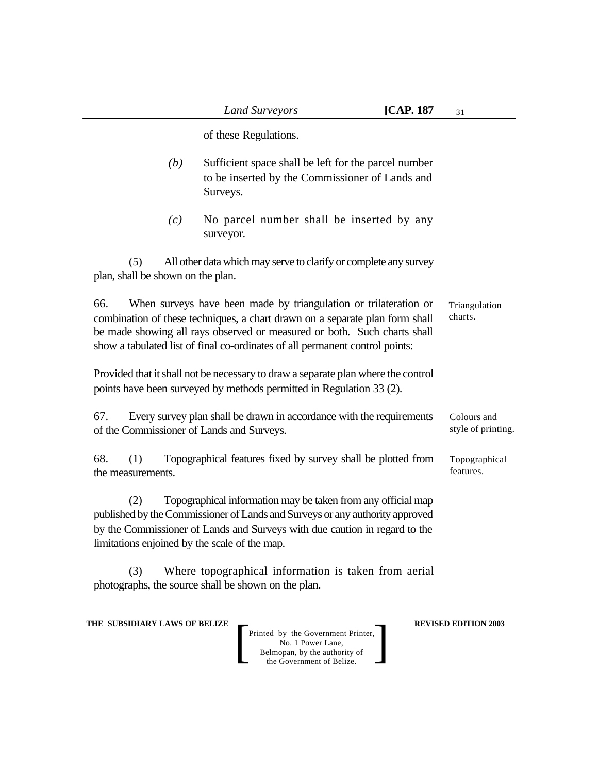of these Regulations. *(b)* Sufficient space shall be left for the parcel number to be inserted by the Commissioner of Lands and Surveys. *(c)* No parcel number shall be inserted by any surveyor. (5) All other data which may serve to clarify or complete any survey plan, shall be shown on the plan. 66. When surveys have been made by triangulation or trilateration or combination of these techniques, a chart drawn on a separate plan form shall be made showing all rays observed or measured or both. Such charts shall show a tabulated list of final co-ordinates of all permanent control points: Provided that it shall not be necessary to draw a separate plan where the control points have been surveyed by methods permitted in Regulation 33 (2). 67. Every survey plan shall be drawn in accordance with the requirements of the Commissioner of Lands and Surveys. 68. (1) Topographical features fixed by survey shall be plotted from the measurements. (2) Topographical information may be taken from any official map published by the Commissioner of Lands and Surveys or any authority approved by the Commissioner of Lands and Surveys with due caution in regard to the limitations enjoined by the scale of the map. (3) Where topographical information is taken from aerial photographs, the source shall be shown on the plan. Triangulation charts. Colours and style of printing. Topographical features.

**THE SUBSIDIARY LAWS OF BELIZE**  $\qquad$  **REVISED EDITION 2003**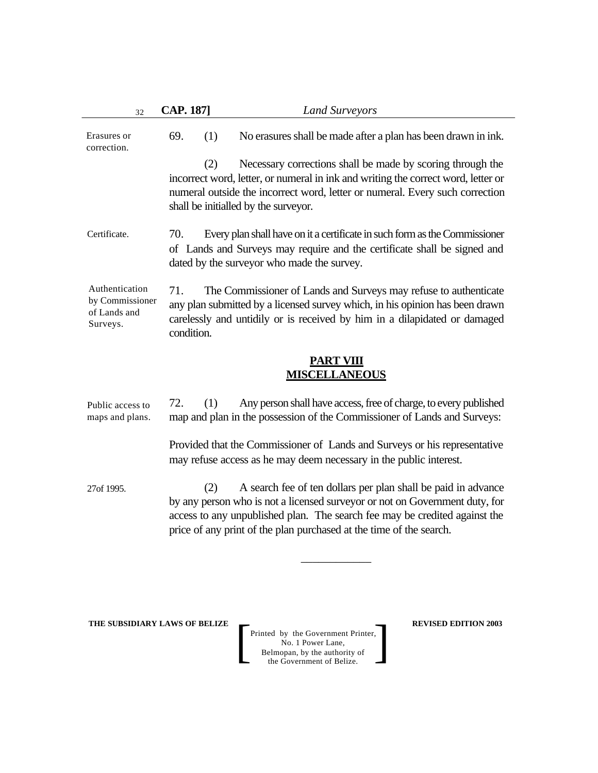| 32                                                            | <b>CAP. 187]</b>                                                                                                                                                                                                                                   | <b>Land Surveyors</b>                                                                                                                                                                                                                                                                             |  |  |
|---------------------------------------------------------------|----------------------------------------------------------------------------------------------------------------------------------------------------------------------------------------------------------------------------------------------------|---------------------------------------------------------------------------------------------------------------------------------------------------------------------------------------------------------------------------------------------------------------------------------------------------|--|--|
| Erasures or<br>correction.                                    | 69.<br>(1)                                                                                                                                                                                                                                         | No erasures shall be made after a plan has been drawn in ink.                                                                                                                                                                                                                                     |  |  |
|                                                               | (2)                                                                                                                                                                                                                                                | Necessary corrections shall be made by scoring through the<br>incorrect word, letter, or numeral in ink and writing the correct word, letter or<br>numeral outside the incorrect word, letter or numeral. Every such correction<br>shall be initialled by the surveyor.                           |  |  |
| Certificate.                                                  | 70.<br>Every plan shall have on it a certificate in such form as the Commissioner<br>of Lands and Surveys may require and the certificate shall be signed and<br>dated by the surveyor who made the survey.                                        |                                                                                                                                                                                                                                                                                                   |  |  |
| Authentication<br>by Commissioner<br>of Lands and<br>Surveys. | 71.<br>The Commissioner of Lands and Surveys may refuse to authenticate<br>any plan submitted by a licensed survey which, in his opinion has been drawn<br>carelessly and untidily or is received by him in a dilapidated or damaged<br>condition. |                                                                                                                                                                                                                                                                                                   |  |  |
|                                                               |                                                                                                                                                                                                                                                    | <b>PART VIII</b><br><b>MISCELLANEOUS</b>                                                                                                                                                                                                                                                          |  |  |
| Public access to<br>maps and plans.                           | 72.<br>(1)                                                                                                                                                                                                                                         | Any person shall have access, free of charge, to every published<br>map and plan in the possession of the Commissioner of Lands and Surveys:                                                                                                                                                      |  |  |
|                                                               |                                                                                                                                                                                                                                                    | Provided that the Commissioner of Lands and Surveys or his representative<br>may refuse access as he may deem necessary in the public interest.                                                                                                                                                   |  |  |
| 27of 1995.                                                    | (2)                                                                                                                                                                                                                                                | A search fee of ten dollars per plan shall be paid in advance<br>by any person who is not a licensed surveyor or not on Government duty, for<br>access to any unpublished plan. The search fee may be credited against the<br>price of any print of the plan purchased at the time of the search. |  |  |
|                                                               |                                                                                                                                                                                                                                                    |                                                                                                                                                                                                                                                                                                   |  |  |

**THE SUBSIDIARY LAWS OF BELIZE REVISED EDITION 2003**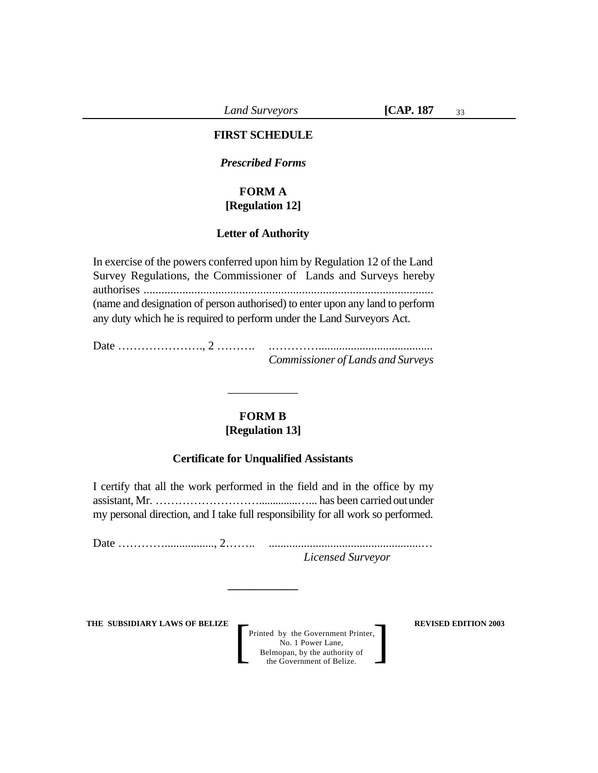*Land Surveyors* **[CAP. 187**

#### **FIRST SCHEDULE**

*Prescribed Forms*

### **FORM A [Regulation 12]**

#### **Letter of Authority**

In exercise of the powers conferred upon him by Regulation 12 of the Land Survey Regulations, the Commissioner of Lands and Surveys hereby authorises ................................................................................................. (name and designation of person authorised) to enter upon any land to perform any duty which he is required to perform under the Land Surveyors Act.

Date …………………., 2 ………. .…………....................................... *Commissioner of Lands and Surveys*

### **FORM B [Regulation 13]**

\_\_\_\_\_\_\_\_\_\_\_\_

### **Certificate for Unqualified Assistants**

I certify that all the work performed in the field and in the office by my assistant, Mr. ………………………..............…... has been carried out under my personal direction, and I take full responsibility for all work so performed.

Date …………................., 2…….. ....................................................… *Licensed Surveyor*

**\_\_\_\_\_\_\_\_\_\_\_\_**

**THE SUBSIDIARY LAWS OF BELIZE**  $\qquad$  **REVISED EDITION 2003**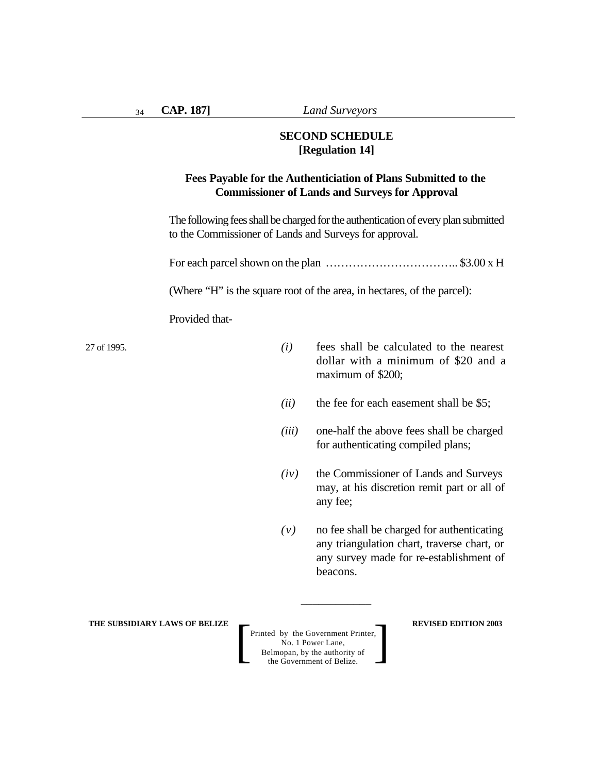**CAP. 187]** *Land Surveyors*

## **SECOND SCHEDULE [Regulation 14]**

## **Fees Payable for the Authenticiation of Plans Submitted to the Commissioner of Lands and Surveys for Approval**

The following fees shall be charged for the authentication of every plan submitted to the Commissioner of Lands and Surveys for approval.

For each parcel shown on the plan …………………………….. \$3.00 x H

(Where "H" is the square root of the area, in hectares, of the parcel):

Provided that-

27 of 1995.

- *(i)* fees shall be calculated to the nearest dollar with a minimum of \$20 and a maximum of \$200;
- *(ii)* the fee for each easement shall be \$5;
- *(iii)* one-half the above fees shall be charged for authenticating compiled plans;
- *(iv)* the Commissioner of Lands and Surveys may, at his discretion remit part or all of any fee;
- *(v)* no fee shall be charged for authenticating any triangulation chart, traverse chart, or any survey made for re-establishment of beacons.

**THE SUBSIDIARY LAWS OF BELIZE**  $\qquad$  **REVISED EDITION 2003** 

Printed by the Government Printer, No. 1 Power Lane, Belmopan, by the authority of Printed by the Government Printer,<br>
No. 1 Power Lane,<br>
Belmopan, by the authority of<br>
the Government of Belize.

\_\_\_\_\_\_\_\_\_\_\_\_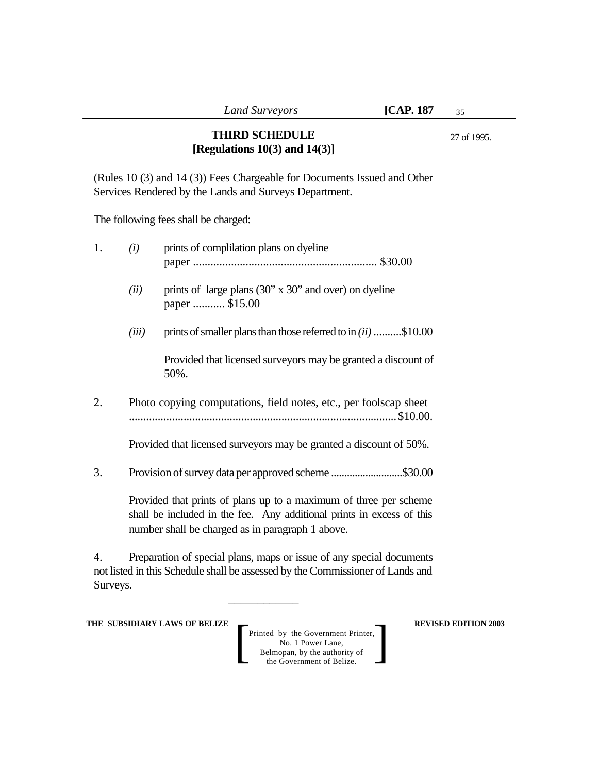# **THIRD SCHEDULE [Regulations 10(3) and 14(3)]**

27 of 1995.

(Rules 10 (3) and 14 (3)) Fees Chargeable for Documents Issued and Other Services Rendered by the Lands and Surveys Department.

The following fees shall be charged:

| 1. | (i)                                                                                                                                                                                            | prints of complilation plans on dyeline                                 |  |  |  |
|----|------------------------------------------------------------------------------------------------------------------------------------------------------------------------------------------------|-------------------------------------------------------------------------|--|--|--|
|    | (ii)                                                                                                                                                                                           | prints of large plans (30" x 30" and over) on dyeline<br>paper  \$15.00 |  |  |  |
|    | (iii)                                                                                                                                                                                          | prints of smaller plans than those referred to in $(ii)$ \$10.00        |  |  |  |
|    |                                                                                                                                                                                                | Provided that licensed surveyors may be granted a discount of<br>50%.   |  |  |  |
| 2. | Photo copying computations, field notes, etc., per foolscap sheet                                                                                                                              |                                                                         |  |  |  |
|    |                                                                                                                                                                                                | Provided that licensed surveyors may be granted a discount of 50%.      |  |  |  |
| 3. |                                                                                                                                                                                                | Provision of survey data per approved scheme \$30.00                    |  |  |  |
|    | Provided that prints of plans up to a maximum of three per scheme<br>shall be included in the fee. Any additional prints in excess of this<br>number shall be charged as in paragraph 1 above. |                                                                         |  |  |  |

4. Preparation of special plans, maps or issue of any special documents not listed in this Schedule shall be assessed by the Commissioner of Lands and Surveys.

\_\_\_\_\_\_\_\_\_\_\_\_

**THE SUBSIDIARY LAWS OF BELIZE**  $\qquad$  **REVISED EDITION 2003**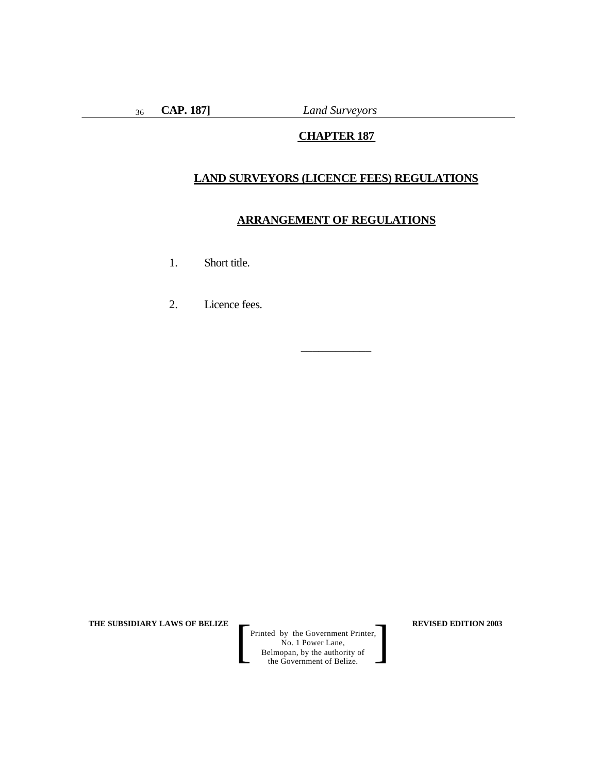36

**CAP. 187]** *Land Surveyors*

# **CHAPTER 187**

### **LAND SURVEYORS (LICENCE FEES) REGULATIONS**

### **ARRANGEMENT OF REGULATIONS**

\_\_\_\_\_\_\_\_\_\_\_\_

- 1. Short title.
- 2. Licence fees.

**THE SUBSIDIARY LAWS OF BELIZE REVISED EDITION 2003**